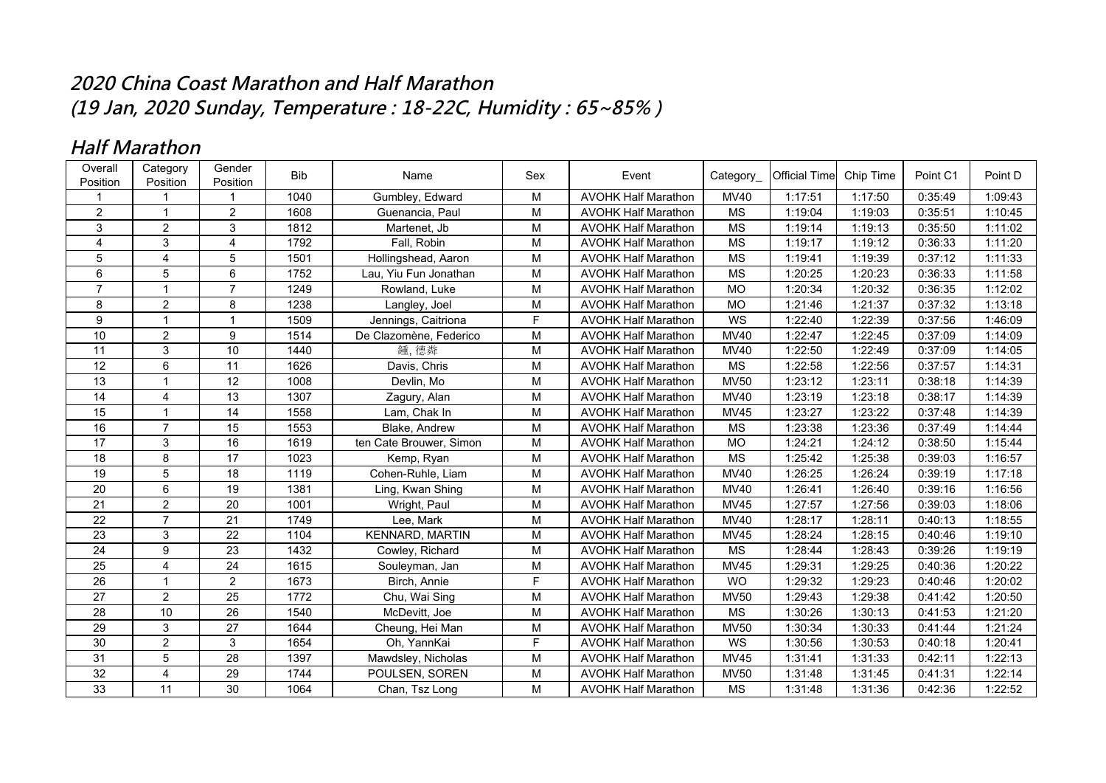## **2020 China Coast Marathon and Half Marathon (19 Jan, 2020 Sunday, Temperature : 18-22C, Humidity : 65~85% )**

## **Half Marathon**

| Overall<br>Position | Category<br>Position | Gender<br>Position | <b>Bib</b> | Name                    | Sex            | Event                      | Category    | <b>Official Time</b> | Chip Time | Point C1 | Point D |
|---------------------|----------------------|--------------------|------------|-------------------------|----------------|----------------------------|-------------|----------------------|-----------|----------|---------|
|                     |                      |                    | 1040       | Gumbley, Edward         | M              | <b>AVOHK Half Marathon</b> | <b>MV40</b> | 1:17:51              | 1:17:50   | 0:35:49  | 1:09:43 |
| $\overline{2}$      | $\mathbf{1}$         | $\overline{2}$     | 1608       | Guenancia, Paul         | M              | <b>AVOHK Half Marathon</b> | MS          | 1:19:04              | 1:19:03   | 0:35:51  | 1:10:45 |
| 3                   | $\overline{2}$       | 3                  | 1812       | Martenet, Jb            | M              | <b>AVOHK Half Marathon</b> | <b>MS</b>   | 1:19:14              | 1:19:13   | 0:35:50  | 1:11:02 |
| 4                   | 3                    | $\overline{4}$     | 1792       | Fall, Robin             | $\overline{M}$ | <b>AVOHK Half Marathon</b> | <b>MS</b>   | 1:19:17              | 1:19:12   | 0:36:33  | 1:11:20 |
| 5                   | $\overline{4}$       | 5                  | 1501       | Hollingshead, Aaron     | M              | <b>AVOHK Half Marathon</b> | <b>MS</b>   | 1:19:41              | 1:19:39   | 0:37:12  | 1:11:33 |
| 6                   | 5                    | 6                  | 1752       | Lau, Yiu Fun Jonathan   | M              | <b>AVOHK Half Marathon</b> | <b>MS</b>   | 1:20:25              | 1:20:23   | 0:36:33  | 1:11:58 |
| $\overline{7}$      | $\mathbf{1}$         | $\overline{7}$     | 1249       | Rowland, Luke           | M              | <b>AVOHK Half Marathon</b> | <b>MO</b>   | 1:20:34              | 1:20:32   | 0:36:35  | 1:12:02 |
| 8                   | $\overline{2}$       | 8                  | 1238       | Langley, Joel           | M              | <b>AVOHK Half Marathon</b> | MO          | 1:21:46              | 1:21:37   | 0:37:32  | 1:13:18 |
| 9                   | $\mathbf{1}$         | 1                  | 1509       | Jennings, Caitriona     | F              | <b>AVOHK Half Marathon</b> | WS          | 1:22:40              | 1:22:39   | 0:37:56  | 1:46:09 |
| 10                  | $\overline{2}$       | 9                  | 1514       | De Clazomène, Federico  | M              | <b>AVOHK Half Marathon</b> | <b>MV40</b> | 1:22:47              | 1:22:45   | 0:37:09  | 1:14:09 |
| 11                  | 3                    | 10                 | 1440       | 鍾, 德粦                   | M              | <b>AVOHK Half Marathon</b> | <b>MV40</b> | 1:22:50              | 1:22:49   | 0:37:09  | 1:14:05 |
| 12                  | 6                    | 11                 | 1626       | Davis, Chris            | M              | <b>AVOHK Half Marathon</b> | MS          | 1:22:58              | 1:22:56   | 0:37:57  | 1:14:31 |
| $\overline{13}$     | $\overline{1}$       | $\overline{12}$    | 1008       | Devlin, Mo              | M              | <b>AVOHK Half Marathon</b> | <b>MV50</b> | 1:23:12              | 1:23:11   | 0:38:18  | 1:14:39 |
| 14                  | 4                    | 13                 | 1307       | Zagury, Alan            | M              | <b>AVOHK Half Marathon</b> | <b>MV40</b> | 1:23:19              | 1:23:18   | 0:38:17  | 1:14:39 |
| 15                  | $\mathbf{1}$         | 14                 | 1558       | Lam, Chak In            | M              | <b>AVOHK Half Marathon</b> | <b>MV45</b> | 1:23:27              | 1:23:22   | 0:37:48  | 1:14:39 |
| 16                  | $\overline{7}$       | 15                 | 1553       | Blake, Andrew           | M              | <b>AVOHK Half Marathon</b> | <b>MS</b>   | 1:23:38              | 1:23:36   | 0:37:49  | 1:14:44 |
| 17                  | 3                    | 16                 | 1619       | ten Cate Brouwer, Simon | M              | <b>AVOHK Half Marathon</b> | <b>MO</b>   | 1:24:21              | 1:24:12   | 0:38:50  | 1:15:44 |
| 18                  | 8                    | 17                 | 1023       | Kemp, Ryan              | M              | <b>AVOHK Half Marathon</b> | <b>MS</b>   | 1:25:42              | 1:25:38   | 0:39:03  | 1:16:57 |
| 19                  | 5                    | 18                 | 1119       | Cohen-Ruhle, Liam       | M              | <b>AVOHK Half Marathon</b> | <b>MV40</b> | 1:26:25              | 1:26:24   | 0:39:19  | 1:17:18 |
| 20                  | 6                    | 19                 | 1381       | Ling, Kwan Shing        | M              | <b>AVOHK Half Marathon</b> | <b>MV40</b> | 1:26:41              | 1:26:40   | 0:39:16  | 1:16:56 |
| 21                  | $\overline{2}$       | $\overline{20}$    | 1001       | Wright, Paul            | M              | <b>AVOHK Half Marathon</b> | <b>MV45</b> | 1:27:57              | 1:27:56   | 0:39:03  | 1:18:06 |
| $\overline{22}$     | $\overline{7}$       | $\overline{21}$    | 1749       | Lee, Mark               | $\overline{M}$ | <b>AVOHK Half Marathon</b> | <b>MV40</b> | 1:28:17              | 1:28:11   | 0:40:13  | 1:18:55 |
| 23                  | 3                    | 22                 | 1104       | KENNARD, MARTIN         | M              | <b>AVOHK Half Marathon</b> | MV45        | 1:28:24              | 1:28:15   | 0:40:46  | 1:19:10 |
| 24                  | 9                    | 23                 | 1432       | Cowley, Richard         | M              | <b>AVOHK Half Marathon</b> | <b>MS</b>   | 1:28:44              | 1:28:43   | 0:39:26  | 1:19:19 |
| 25                  | $\overline{4}$       | 24                 | 1615       | Souleyman, Jan          | M              | <b>AVOHK Half Marathon</b> | <b>MV45</b> | 1:29:31              | 1:29:25   | 0:40:36  | 1:20:22 |
| 26                  | $\mathbf{1}$         | $\overline{2}$     | 1673       | Birch, Annie            | F              | <b>AVOHK Half Marathon</b> | <b>WO</b>   | 1:29:32              | 1:29:23   | 0:40:46  | 1:20:02 |
| 27                  | 2                    | 25                 | 1772       | Chu, Wai Sing           | M              | <b>AVOHK Half Marathon</b> | <b>MV50</b> | 1:29:43              | 1:29:38   | 0:41:42  | 1:20:50 |
| 28                  | 10                   | 26                 | 1540       | McDevitt, Joe           | M              | <b>AVOHK Half Marathon</b> | <b>MS</b>   | 1:30:26              | 1:30:13   | 0:41:53  | 1:21:20 |
| 29                  | 3                    | 27                 | 1644       | Cheung, Hei Man         | M              | <b>AVOHK Half Marathon</b> | <b>MV50</b> | 1:30:34              | 1:30:33   | 0:41:44  | 1:21:24 |
| 30                  | $\overline{2}$       | 3                  | 1654       | Oh, YannKai             | F.             | <b>AVOHK Half Marathon</b> | WS          | 1:30:56              | 1:30:53   | 0:40:18  | 1:20:41 |
| 31                  | 5                    | $\overline{28}$    | 1397       | Mawdsley, Nicholas      | M              | <b>AVOHK Half Marathon</b> | <b>MV45</b> | 1:31:41              | 1:31:33   | 0:42:11  | 1:22:13 |
| 32                  | 4                    | 29                 | 1744       | POULSEN, SOREN          | M              | <b>AVOHK Half Marathon</b> | <b>MV50</b> | 1:31:48              | 1:31:45   | 0:41:31  | 1:22:14 |
| 33                  | 11                   | 30                 | 1064       | Chan, Tsz Long          | M              | <b>AVOHK Half Marathon</b> | MS          | 1:31:48              | 1:31:36   | 0:42:36  | 1:22:52 |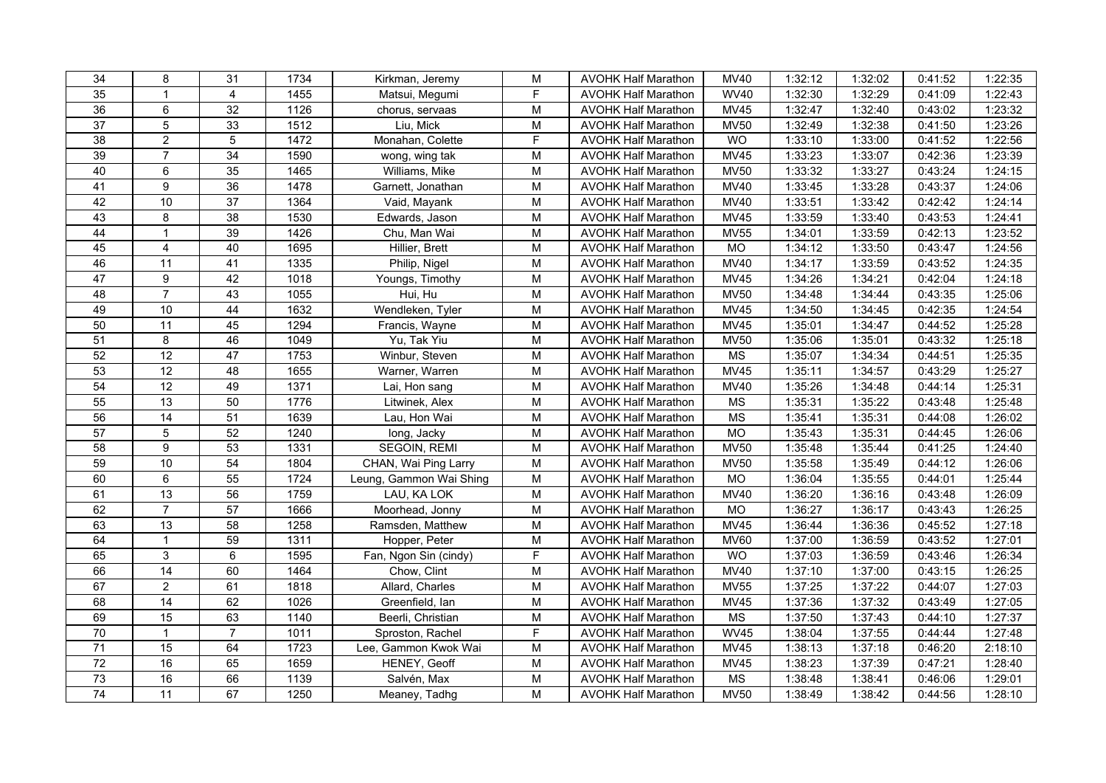| 34              | 8               | 31              | 1734 | Kirkman, Jeremy         | M              | <b>AVOHK Half Marathon</b> | MV40                   | 1:32:12 | 1:32:02 | 0:41:52 | 1:22:35 |
|-----------------|-----------------|-----------------|------|-------------------------|----------------|----------------------------|------------------------|---------|---------|---------|---------|
| $\overline{35}$ | $\mathbf{1}$    | $\overline{4}$  | 1455 | Matsui, Megumi          | F              | <b>AVOHK Half Marathon</b> | <b>WV40</b>            | 1:32:30 | 1:32:29 | 0:41:09 | 1:22:43 |
| 36              | 6               | $\overline{32}$ | 1126 | chorus, servaas         | $\overline{M}$ | <b>AVOHK Half Marathon</b> | <b>MV45</b>            | 1:32:47 | 1:32:40 | 0:43:02 | 1:23:32 |
| $\overline{37}$ | 5               | 33              | 1512 | Liu, Mick               | M              | <b>AVOHK Half Marathon</b> | <b>MV50</b>            | 1:32:49 | 1:32:38 | 0:41:50 | 1:23:26 |
| $\overline{38}$ | $\overline{a}$  | 5               | 1472 | Monahan, Colette        | F              | <b>AVOHK Half Marathon</b> | <b>WO</b>              | 1:33:10 | 1:33:00 | 0:41:52 | 1:22:56 |
| 39              | $\overline{7}$  | 34              | 1590 | wong, wing tak          | M              | <b>AVOHK Half Marathon</b> | <b>MV45</b>            | 1:33:23 | 1:33:07 | 0:42:36 | 1:23:39 |
| 40              | 6               | 35              | 1465 | Williams, Mike          | M              | <b>AVOHK Half Marathon</b> | <b>MV50</b>            | 1:33:32 | 1:33:27 | 0:43:24 | 1:24:15 |
| 41              | 9               | 36              | 1478 | Garnett, Jonathan       | M              | <b>AVOHK Half Marathon</b> | MV40                   | 1:33:45 | 1:33:28 | 0:43:37 | 1:24:06 |
| 42              | 10              | $\overline{37}$ | 1364 | Vaid, Mayank            | $\overline{M}$ | <b>AVOHK Half Marathon</b> | <b>MV40</b>            | 1:33:51 | 1:33:42 | 0:42:42 | 1:24:14 |
| 43              | 8               | 38              | 1530 | Edwards, Jason          | M              | <b>AVOHK Half Marathon</b> | MV45                   | 1:33:59 | 1:33:40 | 0:43:53 | 1:24:41 |
| 44              | $\mathbf{1}$    | 39              | 1426 | Chu, Man Wai            | M              | <b>AVOHK Half Marathon</b> | <b>MV55</b>            | 1:34:01 | 1:33:59 | 0:42:13 | 1:23:52 |
| 45              | $\overline{4}$  | 40              | 1695 | Hillier, Brett          | M              | <b>AVOHK Half Marathon</b> | <b>MO</b>              | 1:34:12 | 1:33:50 | 0:43:47 | 1:24:56 |
| 46              | $\overline{11}$ | 41              | 1335 | Philip, Nigel           | $\overline{M}$ | <b>AVOHK Half Marathon</b> | <b>MV40</b>            | 1:34:17 | 1:33:59 | 0:43:52 | 1:24:35 |
| 47              | 9               | 42              | 1018 | Youngs, Timothy         | ${\sf M}$      | <b>AVOHK Half Marathon</b> | <b>MV45</b>            | 1:34:26 | 1:34:21 | 0:42:04 | 1:24:18 |
| 48              | $\overline{7}$  | 43              | 1055 | Hui, Hu                 | M              | <b>AVOHK Half Marathon</b> | <b>MV50</b>            | 1:34:48 | 1:34:44 | 0:43:35 | 1:25:06 |
| 49              | 10              | 44              | 1632 | Wendleken, Tyler        | M              | <b>AVOHK Half Marathon</b> | <b>MV45</b>            | 1:34:50 | 1:34:45 | 0:42:35 | 1:24:54 |
| 50              | 11              | 45              | 1294 | Francis, Wayne          | M              | <b>AVOHK Half Marathon</b> | <b>MV45</b>            | 1:35:01 | 1:34:47 | 0:44:52 | 1:25:28 |
| 51              | 8               | 46              | 1049 | Yu, Tak Yiu             | $\overline{M}$ | <b>AVOHK Half Marathon</b> | <b>MV50</b>            | 1:35:06 | 1:35:01 | 0:43:32 | 1:25:18 |
| 52              | 12              | 47              | 1753 | Winbur, Steven          | $\overline{M}$ | <b>AVOHK Half Marathon</b> | $\overline{\text{MS}}$ | 1:35:07 | 1:34:34 | 0:44:51 | 1:25:35 |
| 53              | 12              | 48              | 1655 | Warner, Warren          | M              | <b>AVOHK Half Marathon</b> | <b>MV45</b>            | 1:35:11 | 1:34:57 | 0:43:29 | 1:25:27 |
| 54              | 12              | 49              | 1371 | Lai, Hon sang           | M              | <b>AVOHK Half Marathon</b> | <b>MV40</b>            | 1:35:26 | 1:34:48 | 0:44:14 | 1:25:31 |
| 55              | 13              | 50              | 1776 | Litwinek, Alex          | $\overline{M}$ | <b>AVOHK Half Marathon</b> | $\overline{\text{MS}}$ | 1:35:31 | 1:35:22 | 0:43:48 | 1:25:48 |
| 56              | $\overline{14}$ | $\overline{51}$ | 1639 | Lau, Hon Wai            | $\overline{M}$ | <b>AVOHK Half Marathon</b> | <b>MS</b>              | 1:35:41 | 1:35:31 | 0:44:08 | 1:26:02 |
| $\overline{57}$ | $\overline{5}$  | 52              | 1240 | long, Jacky             | $\overline{M}$ | <b>AVOHK Half Marathon</b> | $\overline{MO}$        | 1:35:43 | 1:35:31 | 0:44:45 | 1:26:06 |
| 58              | 9               | 53              | 1331 | SEGOIN, REMI            | M              | <b>AVOHK Half Marathon</b> | <b>MV50</b>            | 1:35:48 | 1:35:44 | 0:41:25 | 1:24:40 |
| 59              | 10              | 54              | 1804 | CHAN, Wai Ping Larry    | $\mathsf{M}$   | <b>AVOHK Half Marathon</b> | <b>MV50</b>            | 1:35:58 | 1:35:49 | 0:44:12 | 1:26:06 |
| 60              | 6               | 55              | 1724 | Leung, Gammon Wai Shing | $\mathsf{M}$   | <b>AVOHK Half Marathon</b> | <b>MO</b>              | 1:36:04 | 1:35:55 | 0:44:01 | 1:25:44 |
| 61              | 13              | 56              | 1759 | LAU, KA LOK             | $\overline{M}$ | <b>AVOHK Half Marathon</b> | <b>MV40</b>            | 1:36:20 | 1:36:16 | 0:43:48 | 1:26:09 |
| 62              | $\overline{7}$  | 57              | 1666 | Moorhead, Jonny         | ${\sf M}$      | <b>AVOHK Half Marathon</b> | $\overline{MO}$        | 1:36:27 | 1:36:17 | 0:43:43 | 1:26:25 |
| 63              | 13              | 58              | 1258 | Ramsden, Matthew        | M              | <b>AVOHK Half Marathon</b> | <b>MV45</b>            | 1:36:44 | 1:36:36 | 0:45:52 | 1:27:18 |
| 64              | $\mathbf{1}$    | 59              | 1311 | Hopper, Peter           | M              | <b>AVOHK Half Marathon</b> | <b>MV60</b>            | 1:37:00 | 1:36:59 | 0:43:52 | 1:27:01 |
| 65              | 3               | 6               | 1595 | Fan, Ngon Sin (cindy)   | F              | <b>AVOHK Half Marathon</b> | <b>WO</b>              | 1:37:03 | 1:36:59 | 0:43:46 | 1:26:34 |
| 66              | $\overline{14}$ | 60              | 1464 | Chow, Clint             | M              | <b>AVOHK Half Marathon</b> | MV40                   | 1:37:10 | 1:37:00 | 0:43:15 | 1:26:25 |
| 67              | $\overline{2}$  | 61              | 1818 | Allard, Charles         | M              | <b>AVOHK Half Marathon</b> | <b>MV55</b>            | 1:37:25 | 1:37:22 | 0:44:07 | 1:27:03 |
| 68              | $\overline{14}$ | 62              | 1026 | Greenfield, lan         | M              | <b>AVOHK Half Marathon</b> | <b>MV45</b>            | 1:37:36 | 1:37:32 | 0:43:49 | 1:27:05 |
| 69              | 15              | 63              | 1140 | Beerli, Christian       | $\overline{M}$ | <b>AVOHK Half Marathon</b> | <b>MS</b>              | 1:37:50 | 1:37:43 | 0:44:10 | 1:27:37 |
| $\overline{70}$ | $\mathbf{1}$    | $\overline{7}$  | 1011 | Sproston, Rachel        | F              | <b>AVOHK Half Marathon</b> | <b>WV45</b>            | 1:38:04 | 1:37:55 | 0:44:44 | 1:27:48 |
| $\overline{71}$ | 15              | 64              | 1723 | Lee, Gammon Kwok Wai    | $\mathsf{M}$   | <b>AVOHK Half Marathon</b> | <b>MV45</b>            | 1:38:13 | 1:37:18 | 0:46:20 | 2:18:10 |
| $72\,$          | 16              | 65              | 1659 | HENEY, Geoff            | $\mathsf{M}$   | <b>AVOHK Half Marathon</b> | <b>MV45</b>            | 1:38:23 | 1:37:39 | 0:47:21 | 1:28:40 |
| $\overline{73}$ | 16              | 66              | 1139 | Salvén, Max             | ${\sf M}$      | <b>AVOHK Half Marathon</b> | MS                     | 1:38:48 | 1:38:41 | 0:46:06 | 1:29:01 |
| 74              | 11              | 67              | 1250 | Meaney, Tadhg           | M              | <b>AVOHK Half Marathon</b> | <b>MV50</b>            | 1:38:49 | 1:38:42 | 0:44:56 | 1:28:10 |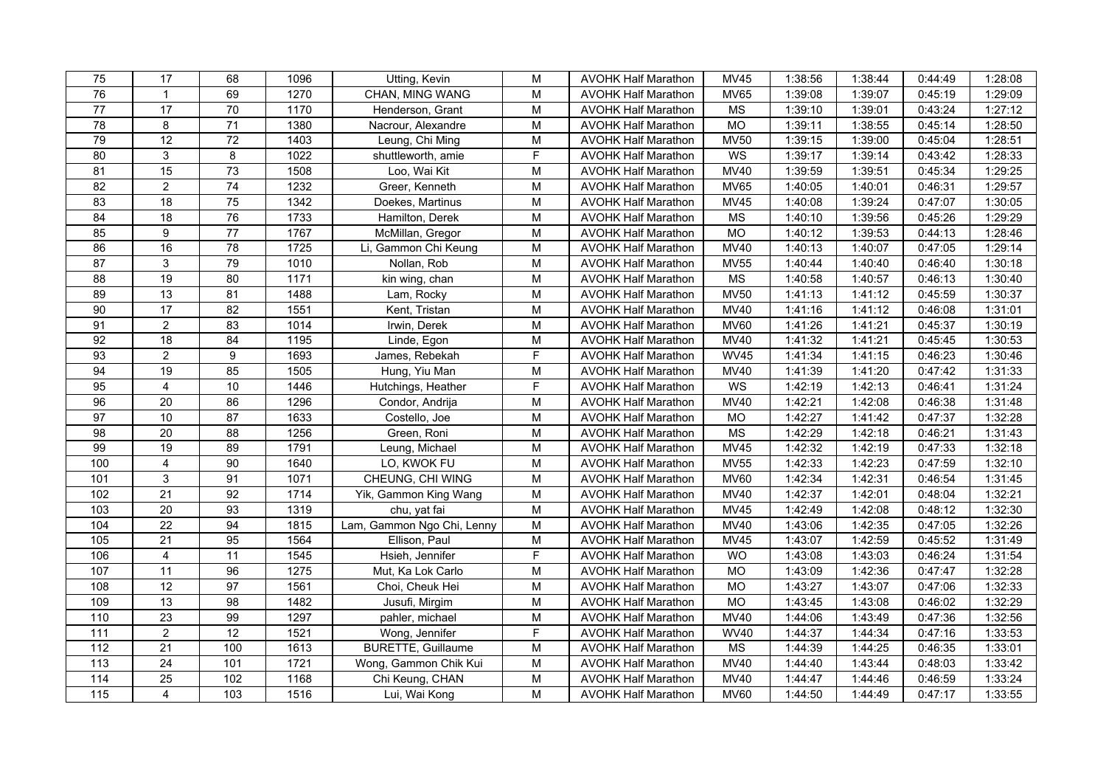| 75                | 17              | 68              | 1096               | Utting, Kevin              | M                                                                                     | <b>AVOHK Half Marathon</b> | <b>MV45</b>            | 1:38:56 | 1:38:44 | 0:44:49 | 1:28:08 |
|-------------------|-----------------|-----------------|--------------------|----------------------------|---------------------------------------------------------------------------------------|----------------------------|------------------------|---------|---------|---------|---------|
| 76                | $\mathbf{1}$    | 69              | 1270               | CHAN, MING WANG            | M                                                                                     | <b>AVOHK Half Marathon</b> | MV65                   | 1:39:08 | 1:39:07 | 0:45:19 | 1:29:09 |
| $\overline{77}$   | 17              | 70              | 1170               | Henderson, Grant           | $\mathsf{M}% _{T}=\mathsf{M}_{T}\!\left( a,b\right) ,\ \mathsf{M}_{T}=\mathsf{M}_{T}$ | <b>AVOHK Half Marathon</b> | <b>MS</b>              | 1:39:10 | 1:39:01 | 0:43:24 | 1:27:12 |
| $\overline{78}$   | 8               | 71              | 1380               | Nacrour, Alexandre         | $\mathsf{M}% _{T}=\mathsf{M}_{T}\!\left( a,b\right) ,\ \mathsf{M}_{T}=\mathsf{M}_{T}$ | <b>AVOHK Half Marathon</b> | <b>MO</b>              | 1:39:11 | 1:38:55 | 0:45:14 | 1:28:50 |
| 79                | $\overline{12}$ | 72              | 1403               | Leung, Chi Ming            | M                                                                                     | <b>AVOHK Half Marathon</b> | <b>MV50</b>            | 1:39:15 | 1:39:00 | 0:45:04 | 1:28:51 |
| 80                | 3               | 8               | 1022               | shuttleworth, amie         | F                                                                                     | <b>AVOHK Half Marathon</b> | WS                     | 1:39:17 | 1:39:14 | 0:43:42 | 1:28:33 |
| 81                | 15              | 73              | 1508               | Loo, Wai Kit               | ${\sf M}$                                                                             | <b>AVOHK Half Marathon</b> | <b>MV40</b>            | 1:39:59 | 1:39:51 | 0:45:34 | 1:29:25 |
| 82                | $\overline{2}$  | 74              | 1232               | Greer, Kenneth             | $\mathsf{M}% _{T}=\mathsf{M}_{T}\!\left( a,b\right) ,\ \mathsf{M}_{T}=\mathsf{M}_{T}$ | <b>AVOHK Half Marathon</b> | <b>MV65</b>            | 1:40:05 | 1:40:01 | 0:46:31 | 1:29:57 |
| 83                | 18              | 75              | 1342               | Doekes, Martinus           | M                                                                                     | <b>AVOHK Half Marathon</b> | <b>MV45</b>            | 1:40:08 | 1:39:24 | 0:47:07 | 1:30:05 |
| 84                | 18              | 76              | 1733               | Hamilton, Derek            | M                                                                                     | <b>AVOHK Half Marathon</b> | MS                     | 1:40:10 | 1:39:56 | 0:45:26 | 1:29:29 |
| 85                | 9               | 77              | 1767               | McMillan, Gregor           | M                                                                                     | <b>AVOHK Half Marathon</b> | <b>MO</b>              | 1:40:12 | 1:39:53 | 0:44:13 | 1:28:46 |
| 86                | 16              | 78              | 1725               | Li, Gammon Chi Keung       | $\mathsf{M}% _{T}=\mathsf{M}_{T}\!\left( a,b\right) ,\ \mathsf{M}_{T}=\mathsf{M}_{T}$ | <b>AVOHK Half Marathon</b> | <b>MV40</b>            | 1:40:13 | 1:40:07 | 0:47:05 | 1:29:14 |
| $\overline{87}$   | $\mathbf{3}$    | 79              | 1010               | Nollan, Rob                | M                                                                                     | <b>AVOHK Half Marathon</b> | <b>MV55</b>            | 1:40:44 | 1:40:40 | 0:46:40 | 1:30:18 |
| $\overline{88}$   | 19              | $\overline{80}$ | 1171               | kin wing, chan             | $\mathsf{M}% _{T}=\mathsf{M}_{T}\!\left( a,b\right) ,\ \mathsf{M}_{T}=\mathsf{M}_{T}$ | <b>AVOHK Half Marathon</b> | $\overline{\text{MS}}$ | 1:40:58 | 1:40:57 | 0:46:13 | 1:30:40 |
| 89                | 13              | 81              | 1488               | Lam, Rocky                 | M                                                                                     | <b>AVOHK Half Marathon</b> | <b>MV50</b>            | 1:41:13 | 1:41:12 | 0:45:59 | 1:30:37 |
| 90                | 17              | 82              | 1551               | Kent, Tristan              | M                                                                                     | <b>AVOHK Half Marathon</b> | <b>MV40</b>            | 1:41:16 | 1:41:12 | 0:46:08 | 1:31:01 |
| 91                | $\overline{2}$  | 83              | 1014               | Irwin, Derek               | M                                                                                     | <b>AVOHK Half Marathon</b> | <b>MV60</b>            | 1:41:26 | 1:41:21 | 0:45:37 | 1:30:19 |
| 92                | 18              | 84              | 1195               | Linde, Egon                | M                                                                                     | <b>AVOHK Half Marathon</b> | MV40                   | 1:41:32 | 1:41:21 | 0:45:45 | 1:30:53 |
| 93                | $\overline{2}$  | $\overline{9}$  | 1693               | James, Rebekah             | $\overline{F}$                                                                        | <b>AVOHK Half Marathon</b> | <b>WV45</b>            | 1:41:34 | 1:41:15 | 0:46:23 | 1:30:46 |
| 94                | 19              | 85              | 1505               | Hung, Yiu Man              | $\mathsf{M}% _{T}=\mathsf{M}_{T}\!\left( a,b\right) ,\ \mathsf{M}_{T}=\mathsf{M}_{T}$ | <b>AVOHK Half Marathon</b> | <b>MV40</b>            | 1:41:39 | 1:41:20 | 0:47:42 | 1:31:33 |
| 95                | $\overline{4}$  | 10              | 1446               | Hutchings, Heather         | F                                                                                     | <b>AVOHK Half Marathon</b> | WS                     | 1:42:19 | 1:42:13 | 0:46:41 | 1:31:24 |
| 96                | $\overline{20}$ | 86              | 1296               | Condor, Andrija            | M                                                                                     | <b>AVOHK Half Marathon</b> | MV40                   | 1:42:21 | 1:42:08 | 0:46:38 | 1:31:48 |
| $\overline{97}$   | 10              | 87              | 1633               | Costello, Joe              | $\mathsf{M}% _{T}=\mathsf{M}_{T}\!\left( a,b\right) ,\ \mathsf{M}_{T}=\mathsf{M}_{T}$ | <b>AVOHK Half Marathon</b> | MO                     | 1:42:27 | 1:41:42 | 0:47:37 | 1:32:28 |
| $\overline{98}$   | 20              | 88              | 1256               | Green, Roni                | M                                                                                     | <b>AVOHK Half Marathon</b> | <b>MS</b>              | 1:42:29 | 1:42:18 | 0:46:21 | 1:31:43 |
| 99                | 19              | 89              | 1791               | Leung, Michael             | M                                                                                     | <b>AVOHK Half Marathon</b> | <b>MV45</b>            | 1:42:32 | 1:42:19 | 0:47:33 | 1:32:18 |
| 100               | $\overline{4}$  | $90\,$          | 1640               | LO, KWOK FU                | ${\sf M}$                                                                             | <b>AVOHK Half Marathon</b> | <b>MV55</b>            | 1:42:33 | 1:42:23 | 0:47:59 | 1:32:10 |
| 101               | $\mathbf{3}$    | 91              | $\frac{1071}{100}$ | CHEUNG, CHI WING           | $\mathsf{M}% _{T}=\mathsf{M}_{T}\!\left( a,b\right) ,\ \mathsf{M}_{T}=\mathsf{M}_{T}$ | <b>AVOHK Half Marathon</b> | <b>MV60</b>            | 1:42:34 | 1:42:31 | 0:46:54 | 1:31:45 |
| 102               | $\overline{21}$ | 92              | 1714               | Yik, Gammon King Wang      | $\mathsf{M}% _{T}=\mathsf{M}_{T}\!\left( a,b\right) ,\ \mathsf{M}_{T}=\mathsf{M}_{T}$ | <b>AVOHK Half Marathon</b> | <b>MV40</b>            | 1:42:37 | 1:42:01 | 0:48:04 | 1:32:21 |
| 103               | 20              | 93              | 1319               | chu, yat fai               | M                                                                                     | <b>AVOHK Half Marathon</b> | <b>MV45</b>            | 1:42:49 | 1:42:08 | 0:48:12 | 1:32:30 |
| 104               | 22              | 94              | 1815               | Lam, Gammon Ngo Chi, Lenny | M                                                                                     | <b>AVOHK Half Marathon</b> | <b>MV40</b>            | 1:43:06 | 1:42:35 | 0:47:05 | 1:32:26 |
| 105               | $\overline{21}$ | 95              | 1564               | Ellison, Paul              | M                                                                                     | <b>AVOHK Half Marathon</b> | <b>MV45</b>            | 1:43:07 | 1:42:59 | 0:45:52 | 1:31:49 |
| 106               | $\overline{4}$  | 11              | 1545               | Hsieh, Jennifer            | F                                                                                     | <b>AVOHK Half Marathon</b> | <b>WO</b>              | 1:43:08 | 1:43:03 | 0:46:24 | 1:31:54 |
| 107               | 11              | 96              | 1275               | Mut, Ka Lok Carlo          | M                                                                                     | <b>AVOHK Half Marathon</b> | <b>MO</b>              | 1:43:09 | 1:42:36 | 0:47:47 | 1:32:28 |
| 108               | 12              | 97              | 1561               | Choi, Cheuk Hei            | $\mathsf{M}% _{T}=\mathsf{M}_{T}\!\left( a,b\right) ,\ \mathsf{M}_{T}=\mathsf{M}_{T}$ | <b>AVOHK Half Marathon</b> | <b>MO</b>              | 1:43:27 | 1:43:07 | 0:47:06 | 1:32:33 |
| 109               | 13              | 98              | 1482               | Jusufi, Mirgim             | M                                                                                     | <b>AVOHK Half Marathon</b> | <b>MO</b>              | 1:43:45 | 1:43:08 | 0:46:02 | 1:32:29 |
| 110               | $\overline{23}$ | 99              | 1297               | pahler, michael            | M                                                                                     | <b>AVOHK Half Marathon</b> | <b>MV40</b>            | 1:44:06 | 1:43:49 | 0:47:36 | 1:32:56 |
| $\overline{111}$  | $\overline{2}$  | $\overline{12}$ | 1521               | Wong, Jennifer             | $\overline{F}$                                                                        | <b>AVOHK Half Marathon</b> | <b>WV40</b>            | 1:44:37 | 1:44:34 | 0:47:16 | 1:33:53 |
| $\frac{112}{112}$ | $\overline{21}$ | 100             | 1613               | <b>BURETTE, Guillaume</b>  | M                                                                                     | <b>AVOHK Half Marathon</b> | $\overline{\text{MS}}$ | 1:44:39 | 1:44:25 | 0:46:35 | 1:33:01 |
| 113               | 24              | 101             | 1721               | Wong, Gammon Chik Kui      | M                                                                                     | <b>AVOHK Half Marathon</b> | <b>MV40</b>            | 1:44:40 | 1:43:44 | 0:48:03 | 1:33:42 |
| 114               | 25              | 102             | 1168               | Chi Keung, CHAN            | $\mathsf{M}% _{T}=\mathsf{M}_{T}\!\left( a,b\right) ,\ \mathsf{M}_{T}=\mathsf{M}_{T}$ | <b>AVOHK Half Marathon</b> | <b>MV40</b>            | 1:44:47 | 1:44:46 | 0:46:59 | 1:33:24 |
| 115               | $\overline{4}$  | 103             | 1516               | Lui, Wai Kong              | $\overline{M}$                                                                        | <b>AVOHK Half Marathon</b> | <b>MV60</b>            | 1:44:50 | 1:44:49 | 0:47:17 | 1:33:55 |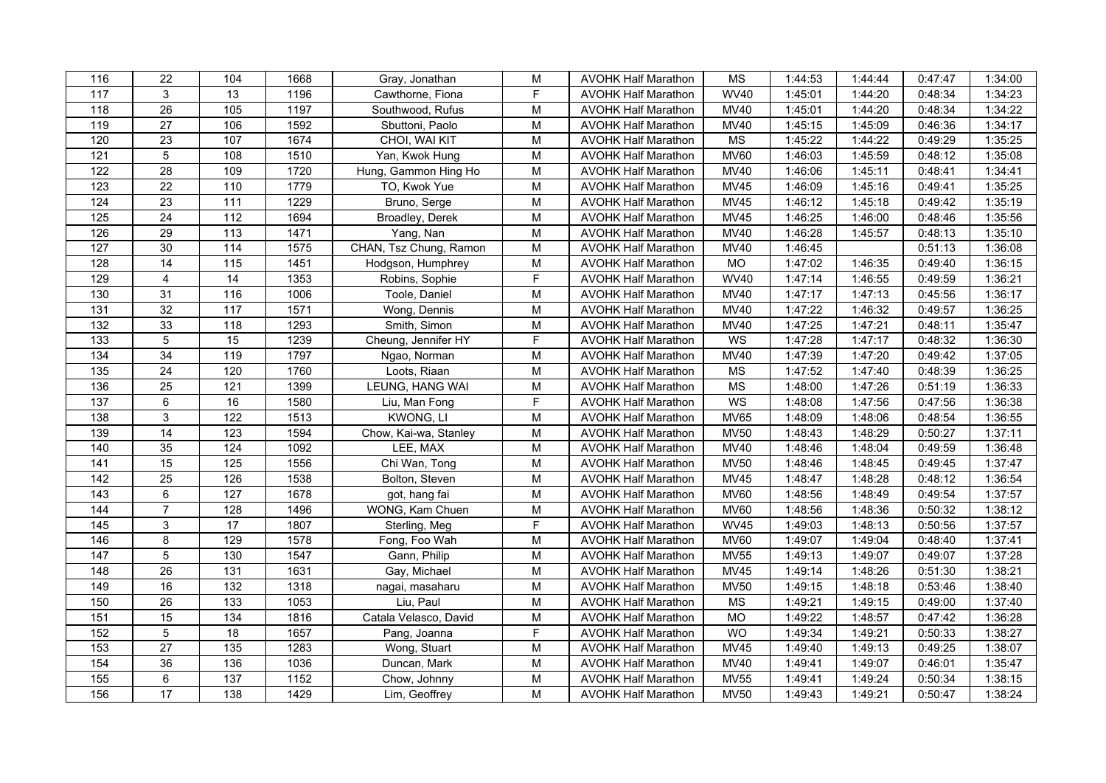| 116              | 22              | 104               | 1668 | Gray, Jonathan         | M                                                                                     | <b>AVOHK Half Marathon</b> | MS          | 1:44:53 | 1:44:44 | 0:47:47 | 1:34:00 |
|------------------|-----------------|-------------------|------|------------------------|---------------------------------------------------------------------------------------|----------------------------|-------------|---------|---------|---------|---------|
| 117              | 3               | 13                | 1196 | Cawthorne, Fiona       | F                                                                                     | <b>AVOHK Half Marathon</b> | <b>WV40</b> | 1:45:01 | 1:44:20 | 0:48:34 | 1:34:23 |
| 118              | 26              | 105               | 1197 | Southwood, Rufus       | M                                                                                     | <b>AVOHK Half Marathon</b> | <b>MV40</b> | 1:45:01 | 1:44:20 | 0:48:34 | 1:34:22 |
| 119              | $\overline{27}$ | 106               | 1592 | Sbuttoni, Paolo        | $\mathsf{M}% _{T}=\mathsf{M}_{T}\!\left( a,b\right) ,\ \mathsf{M}_{T}=\mathsf{M}_{T}$ | <b>AVOHK Half Marathon</b> | <b>MV40</b> | 1:45:15 | 1:45:09 | 0:46:36 | 1:34:17 |
| 120              | 23              | 107               | 1674 | CHOI, WAI KIT          | M                                                                                     | <b>AVOHK Half Marathon</b> | <b>MS</b>   | 1:45:22 | 1:44:22 | 0:49:29 | 1:35:25 |
| 121              | 5               | 108               | 1510 | Yan, Kwok Hung         | M                                                                                     | <b>AVOHK Half Marathon</b> | <b>MV60</b> | 1:46:03 | 1:45:59 | 0:48:12 | 1:35:08 |
| 122              | 28              | 109               | 1720 | Hung, Gammon Hing Ho   | ${\sf M}$                                                                             | <b>AVOHK Half Marathon</b> | <b>MV40</b> | 1:46:06 | 1:45:11 | 0:48:41 | 1:34:41 |
| 123              | $\overline{22}$ | $\frac{110}{110}$ | 1779 | TO, Kwok Yue           | $\mathsf{M}% _{T}=\mathsf{M}_{T}\!\left( a,b\right) ,\ \mathsf{M}_{T}=\mathsf{M}_{T}$ | <b>AVOHK Half Marathon</b> | <b>MV45</b> | 1:46:09 | 1:45:16 | 0:49:41 | 1:35:25 |
| 124              | 23              | $\frac{111}{11}$  | 1229 | Bruno, Serge           | M                                                                                     | <b>AVOHK Half Marathon</b> | <b>MV45</b> | 1:46:12 | 1:45:18 | 0:49:42 | 1:35:19 |
| 125              | 24              | 112               | 1694 | Broadley, Derek        | M                                                                                     | <b>AVOHK Half Marathon</b> | MV45        | 1:46:25 | 1:46:00 | 0:48:46 | 1:35:56 |
| 126              | 29              | 113               | 1471 | Yang, Nan              | M                                                                                     | <b>AVOHK Half Marathon</b> | <b>MV40</b> | 1:46:28 | 1:45:57 | 0:48:13 | 1:35:10 |
| 127              | 30              | 114               | 1575 | CHAN, Tsz Chung, Ramon | ${\sf M}$                                                                             | <b>AVOHK Half Marathon</b> | <b>MV40</b> | 1:46:45 |         | 0:51:13 | 1:36:08 |
| 128              | 14              | 115               | 1451 | Hodgson, Humphrey      | M                                                                                     | <b>AVOHK Half Marathon</b> | MO          | 1:47:02 | 1:46:35 | 0:49:40 | 1:36:15 |
| 129              | 4               | $\overline{14}$   | 1353 | Robins, Sophie         | $\overline{F}$                                                                        | <b>AVOHK Half Marathon</b> | <b>WV40</b> | 1:47:14 | 1:46:55 | 0:49:59 | 1:36:21 |
| 130              | 31              | 116               | 1006 | Toole, Daniel          | M                                                                                     | <b>AVOHK Half Marathon</b> | MV40        | 1:47:17 | 1:47:13 | 0:45:56 | 1:36:17 |
| 131              | 32              | 117               | 1571 | Wong, Dennis           | M                                                                                     | <b>AVOHK Half Marathon</b> | <b>MV40</b> | 1:47:22 | 1:46:32 | 0:49:57 | 1:36:25 |
| 132              | 33              | 118               | 1293 | Smith, Simon           | M                                                                                     | <b>AVOHK Half Marathon</b> | MV40        | 1:47:25 | 1:47:21 | 0:48:11 | 1:35:47 |
| 133              | 5 <sup>5</sup>  | 15                | 1239 | Cheung, Jennifer HY    | F                                                                                     | <b>AVOHK Half Marathon</b> | WS          | 1:47:28 | 1:47:17 | 0:48:32 | 1:36:30 |
| 134              | 34              | 119               | 1797 | Ngao, Norman           | M                                                                                     | <b>AVOHK Half Marathon</b> | <b>MV40</b> | 1:47:39 | 1:47:20 | 0:49:42 | 1:37:05 |
| 135              | 24              | 120               | 1760 | Loots, Riaan           | ${\sf M}$                                                                             | <b>AVOHK Half Marathon</b> | <b>MS</b>   | 1:47:52 | 1:47:40 | 0:48:39 | 1:36:25 |
| 136              | 25              | 121               | 1399 | LEUNG, HANG WAI        | ${\sf M}$                                                                             | <b>AVOHK Half Marathon</b> | <b>MS</b>   | 1:48:00 | 1:47:26 | 0:51:19 | 1:36:33 |
| $\overline{137}$ | 6               | 16                | 1580 | Liu, Man Fong          | $\overline{F}$                                                                        | <b>AVOHK Half Marathon</b> | WS          | 1:48:08 | 1:47:56 | 0:47:56 | 1:36:38 |
| 138              | 3               | 122               | 1513 | KWONG, LI              | ${\sf M}$                                                                             | <b>AVOHK Half Marathon</b> | <b>MV65</b> | 1:48:09 | 1:48:06 | 0:48:54 | 1:36:55 |
| 139              | $\overline{14}$ | 123               | 1594 | Chow, Kai-wa, Stanley  | M                                                                                     | <b>AVOHK Half Marathon</b> | <b>MV50</b> | 1:48:43 | 1:48:29 | 0:50:27 | 1:37:11 |
| 140              | 35              | 124               | 1092 | LEE, MAX               | M                                                                                     | <b>AVOHK Half Marathon</b> | <b>MV40</b> | 1:48:46 | 1:48:04 | 0:49:59 | 1:36:48 |
| 141              | 15              | 125               | 1556 | Chi Wan, Tong          | ${\sf M}$                                                                             | <b>AVOHK Half Marathon</b> | <b>MV50</b> | 1:48:46 | 1:48:45 | 0:49:45 | 1:37:47 |
| $\frac{142}{ }$  | $\overline{25}$ | 126               | 1538 | Bolton, Steven         | ${\sf M}$                                                                             | <b>AVOHK Half Marathon</b> | <b>MV45</b> | 1:48:47 | 1:48:28 | 0:48:12 | 1:36:54 |
| $\overline{143}$ | 6               | $\frac{1}{27}$    | 1678 | got, hang fai          | ${\sf M}$                                                                             | <b>AVOHK Half Marathon</b> | <b>MV60</b> | 1:48:56 | 1:48:49 | 0:49:54 | 1:37:57 |
| 144              | $\overline{7}$  | 128               | 1496 | WONG, Kam Chuen        | M                                                                                     | <b>AVOHK Half Marathon</b> | <b>MV60</b> | 1:48:56 | 1:48:36 | 0:50:32 | 1:38:12 |
| 145              | 3               | 17                | 1807 | Sterling, Meg          | F                                                                                     | <b>AVOHK Half Marathon</b> | <b>WV45</b> | 1:49:03 | 1:48:13 | 0:50:56 | 1:37:57 |
| 146              | 8               | 129               | 1578 | Fong, Foo Wah          | M                                                                                     | <b>AVOHK Half Marathon</b> | <b>MV60</b> | 1:49:07 | 1:49:04 | 0:48:40 | 1:37:41 |
| 147              | 5               | 130               | 1547 | Gann, Philip           | M                                                                                     | <b>AVOHK Half Marathon</b> | <b>MV55</b> | 1:49:13 | 1:49:07 | 0:49:07 | 1:37:28 |
| 148              | 26              | 131               | 1631 | Gay, Michael           | M                                                                                     | <b>AVOHK Half Marathon</b> | <b>MV45</b> | 1:49:14 | 1:48:26 | 0:51:30 | 1:38:21 |
| 149              | 16              | 132               | 1318 | nagai, masaharu        | ${\sf M}$                                                                             | <b>AVOHK Half Marathon</b> | <b>MV50</b> | 1:49:15 | 1:48:18 | 0:53:46 | 1:38:40 |
| 150              | $\overline{26}$ | 133               | 1053 | Liu, Paul              | M                                                                                     | <b>AVOHK Half Marathon</b> | MS          | 1:49:21 | 1:49:15 | 0:49:00 | 1:37:40 |
| 151              | $\overline{15}$ | 134               | 1816 | Catala Velasco, David  | ${\sf M}$                                                                             | <b>AVOHK Half Marathon</b> | <b>MO</b>   | 1:49:22 | 1:48:57 | 0:47:42 | 1:36:28 |
| 152              | 5               | 18                | 1657 | Pang, Joanna           | F                                                                                     | <b>AVOHK Half Marathon</b> | <b>WO</b>   | 1:49:34 | 1:49:21 | 0:50:33 | 1:38:27 |
| 153              | $\overline{27}$ | $\overline{135}$  | 1283 | Wong, Stuart           | M                                                                                     | <b>AVOHK Half Marathon</b> | <b>MV45</b> | 1:49:40 | 1:49:13 | 0:49:25 | 1:38:07 |
| 154              | 36              | 136               | 1036 | Duncan, Mark           | M                                                                                     | <b>AVOHK Half Marathon</b> | MV40        | 1:49:41 | 1:49:07 | 0:46:01 | 1:35:47 |
| 155              | 6               | 137               | 1152 | Chow, Johnny           | ${\sf M}$                                                                             | <b>AVOHK Half Marathon</b> | <b>MV55</b> | 1:49:41 | 1:49:24 | 0:50:34 | 1:38:15 |
| 156              | 17              | $\frac{1}{38}$    | 1429 | Lim, Geoffrey          | $\overline{M}$                                                                        | <b>AVOHK Half Marathon</b> | <b>MV50</b> | 1:49:43 | 1:49:21 | 0:50:47 | 1:38:24 |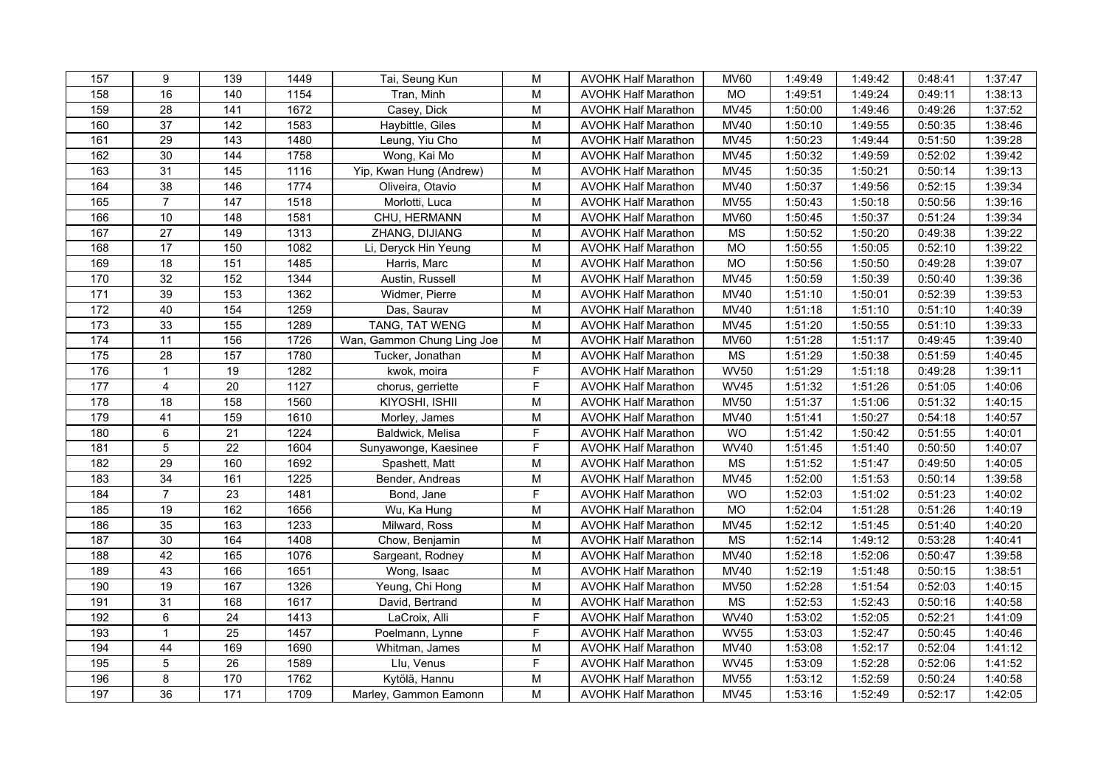| 157              | 9               | 139               | 1449 | Tai, Seung Kun             | M                                                                                     | <b>AVOHK Half Marathon</b> | <b>MV60</b>              | 1:49:49 | 1:49:42 | 0:48:41 | 1:37:47 |
|------------------|-----------------|-------------------|------|----------------------------|---------------------------------------------------------------------------------------|----------------------------|--------------------------|---------|---------|---------|---------|
| 158              | 16              | 140               | 1154 | Tran, Minh                 | ${\sf M}$                                                                             | <b>AVOHK Half Marathon</b> | <b>MO</b>                | 1:49:51 | 1:49:24 | 0:49:11 | 1:38:13 |
| 159              | 28              | 141               | 1672 | Casey, Dick                | ${\sf M}$                                                                             | <b>AVOHK Half Marathon</b> | <b>MV45</b>              | 1:50:00 | 1:49:46 | 0:49:26 | 1:37:52 |
| 160              | $\overline{37}$ | $\overline{142}$  | 1583 | Haybittle, Giles           | ${\sf M}$                                                                             | <b>AVOHK Half Marathon</b> | <b>MV40</b>              | 1:50:10 | 1:49:55 | 0:50:35 | 1:38:46 |
| 161              | 29              | 143               | 1480 | Leung, Yiu Cho             | M                                                                                     | <b>AVOHK Half Marathon</b> | <b>MV45</b>              | 1:50:23 | 1:49:44 | 0:51:50 | 1:39:28 |
| 162              | 30              | 144               | 1758 | Wong, Kai Mo               | M                                                                                     | <b>AVOHK Half Marathon</b> | <b>MV45</b>              | 1:50:32 | 1:49:59 | 0:52:02 | 1:39:42 |
| 163              | 31              | 145               | 1116 | Yip, Kwan Hung (Andrew)    | ${\sf M}$                                                                             | <b>AVOHK Half Marathon</b> | <b>MV45</b>              | 1:50:35 | 1:50:21 | 0:50:14 | 1:39:13 |
| 164              | $\overline{38}$ | 146               | 1774 | Oliveira, Otavio           | ${\sf M}$                                                                             | <b>AVOHK Half Marathon</b> | <b>MV40</b>              | 1:50:37 | 1:49:56 | 0:52:15 | 1:39:34 |
| 165              | $\overline{7}$  | $\frac{147}{147}$ | 1518 | Morlotti, Luca             | M                                                                                     | <b>AVOHK Half Marathon</b> | <b>MV55</b>              | 1:50:43 | 1:50:18 | 0:50:56 | 1:39:16 |
| 166              | 10              | 148               | 1581 | CHU, HERMANN               | M                                                                                     | <b>AVOHK Half Marathon</b> | <b>MV60</b>              | 1:50:45 | 1:50:37 | 0:51:24 | 1:39:34 |
| 167              | 27              | 149               | 1313 | ZHANG, DIJIANG             | M                                                                                     | <b>AVOHK Half Marathon</b> | MS                       | 1:50:52 | 1:50:20 | 0:49:38 | 1:39:22 |
| 168              | 17              | 150               | 1082 | Li, Deryck Hin Yeung       | ${\sf M}$                                                                             | <b>AVOHK Half Marathon</b> | <b>MO</b>                | 1:50:55 | 1:50:05 | 0:52:10 | 1:39:22 |
| 169              | 18              | 151               | 1485 | Harris, Marc               | M                                                                                     | <b>AVOHK Half Marathon</b> | MO                       | 1:50:56 | 1:50:50 | 0:49:28 | 1:39:07 |
| 170              | $\overline{32}$ | 152               | 1344 | Austin, Russell            | ${\sf M}$                                                                             | <b>AVOHK Half Marathon</b> | <b>MV45</b>              | 1:50:59 | 1:50:39 | 0:50:40 | 1:39:36 |
| $\overline{171}$ | 39              | 153               | 1362 | Widmer, Pierre             | M                                                                                     | <b>AVOHK Half Marathon</b> | <b>MV40</b>              | 1:51:10 | 1:50:01 | 0:52:39 | 1:39:53 |
| 172              | 40              | 154               | 1259 | Das, Saurav                | M                                                                                     | <b>AVOHK Half Marathon</b> | <b>MV40</b>              | 1:51:18 | 1:51:10 | 0:51:10 | 1:40:39 |
| 173              | 33              | 155               | 1289 | TANG, TAT WENG             | M                                                                                     | <b>AVOHK Half Marathon</b> | <b>MV45</b>              | 1:51:20 | 1:50:55 | 0:51:10 | 1:39:33 |
| $\frac{1}{174}$  | 11              | 156               | 1726 | Wan, Gammon Chung Ling Joe | M                                                                                     | <b>AVOHK Half Marathon</b> | <b>MV60</b>              | 1:51:28 | 1:51:17 | 0:49:45 | 1:39:40 |
| 175              | $\overline{28}$ | 157               | 1780 | Tucker, Jonathan           | M                                                                                     | <b>AVOHK Half Marathon</b> | $\overline{\mathsf{MS}}$ | 1:51:29 | 1:50:38 | 0:51:59 | 1:40:45 |
| 176              | $\mathbf{1}$    | 19                | 1282 | kwok, moira                | F                                                                                     | <b>AVOHK Half Marathon</b> | <b>WV50</b>              | 1:51:29 | 1:51:18 | 0:49:28 | 1:39:11 |
| 177              | $\overline{4}$  | 20                | 1127 | chorus, gerriette          | F                                                                                     | <b>AVOHK Half Marathon</b> | <b>WV45</b>              | 1:51:32 | 1:51:26 | 0:51:05 | 1:40:06 |
| 178              | $\overline{18}$ | 158               | 1560 | KIYOSHI, ISHII             | M                                                                                     | <b>AVOHK Half Marathon</b> | <b>MV50</b>              | 1:51:37 | 1:51:06 | 0:51:32 | 1:40:15 |
| 179              | 41              | 159               | 1610 | Morley, James              | ${\sf M}$                                                                             | <b>AVOHK Half Marathon</b> | <b>MV40</b>              | 1:51:41 | 1:50:27 | 0:54:18 | 1:40:57 |
| 180              | 6               | 21                | 1224 | Baldwick, Melisa           | F                                                                                     | <b>AVOHK Half Marathon</b> | WO                       | 1:51:42 | 1:50:42 | 0:51:55 | 1:40:01 |
| 181              | 5               | 22                | 1604 | Sunyawonge, Kaesinee       | F                                                                                     | <b>AVOHK Half Marathon</b> | <b>WV40</b>              | 1:51:45 | 1:51:40 | 0:50:50 | 1:40:07 |
| 182              | 29              | 160               | 1692 | Spashett, Matt             | ${\sf M}$                                                                             | <b>AVOHK Half Marathon</b> | <b>MS</b>                | 1:51:52 | 1:51:47 | 0:49:50 | 1:40:05 |
| $\overline{183}$ | 34              | 161               | 1225 | Bender, Andreas            | ${\sf M}$                                                                             | <b>AVOHK Half Marathon</b> | <b>MV45</b>              | 1:52:00 | 1:51:53 | 0:50:14 | 1:39:58 |
| 184              | $\overline{7}$  | $\overline{23}$   | 1481 | Bond, Jane                 | $\overline{F}$                                                                        | <b>AVOHK Half Marathon</b> | WO                       | 1:52:03 | 1:51:02 | 0:51:23 | 1:40:02 |
| 185              | 19              | 162               | 1656 | Wu, Ka Hung                | M                                                                                     | <b>AVOHK Half Marathon</b> | <b>MO</b>                | 1:52:04 | 1:51:28 | 0:51:26 | 1:40:19 |
| 186              | 35              | 163               | 1233 | Milward, Ross              | M                                                                                     | <b>AVOHK Half Marathon</b> | <b>MV45</b>              | 1:52:12 | 1:51:45 | 0:51:40 | 1:40:20 |
| 187              | 30              | 164               | 1408 | Chow, Benjamin             | M                                                                                     | <b>AVOHK Half Marathon</b> | <b>MS</b>                | 1:52:14 | 1:49:12 | 0:53:28 | 1:40:41 |
| 188              | 42              | 165               | 1076 | Sargeant, Rodney           | M                                                                                     | <b>AVOHK Half Marathon</b> | <b>MV40</b>              | 1:52:18 | 1:52:06 | 0:50:47 | 1:39:58 |
| 189              | 43              | 166               | 1651 | Wong, Isaac                | ${\sf M}$                                                                             | <b>AVOHK Half Marathon</b> | <b>MV40</b>              | 1:52:19 | 1:51:48 | 0:50:15 | 1:38:51 |
| 190              | 19              | 167               | 1326 | Yeung, Chi Hong            | $\mathsf{M}% _{T}=\mathsf{M}_{T}\!\left( a,b\right) ,\ \mathsf{M}_{T}=\mathsf{M}_{T}$ | <b>AVOHK Half Marathon</b> | <b>MV50</b>              | 1:52:28 | 1:51:54 | 0:52:03 | 1:40:15 |
| 191              | 31              | 168               | 1617 | David, Bertrand            | M                                                                                     | <b>AVOHK Half Marathon</b> | <b>MS</b>                | 1:52:53 | 1:52:43 | 0:50:16 | 1:40:58 |
| 192              | 6               | $\overline{24}$   | 1413 | LaCroix, Alli              | F                                                                                     | <b>AVOHK Half Marathon</b> | <b>WV40</b>              | 1:53:02 | 1:52:05 | 0:52:21 | 1:41:09 |
| 193              | $\mathbf{1}$    | 25                | 1457 | Poelmann, Lynne            | F                                                                                     | <b>AVOHK Half Marathon</b> | <b>WV55</b>              | 1:53:03 | 1:52:47 | 0:50:45 | 1:40:46 |
| 194              | 44              | 169               | 1690 | Whitman, James             | M                                                                                     | <b>AVOHK Half Marathon</b> | <b>MV40</b>              | 1:53:08 | 1:52:17 | 0:52:04 | 1:41:12 |
| 195              | 5               | 26                | 1589 | Llu, Venus                 | F                                                                                     | <b>AVOHK Half Marathon</b> | <b>WV45</b>              | 1:53:09 | 1:52:28 | 0:52:06 | 1:41:52 |
| 196              | 8               | 170               | 1762 | Kytölä, Hannu              | ${\sf M}$                                                                             | <b>AVOHK Half Marathon</b> | <b>MV55</b>              | 1:53:12 | 1:52:59 | 0:50:24 | 1:40:58 |
| 197              | 36              | $\frac{1}{171}$   | 1709 | Marley, Gammon Eamonn      | M                                                                                     | <b>AVOHK Half Marathon</b> | <b>MV45</b>              | 1:53:16 | 1:52:49 | 0:52:17 | 1:42:05 |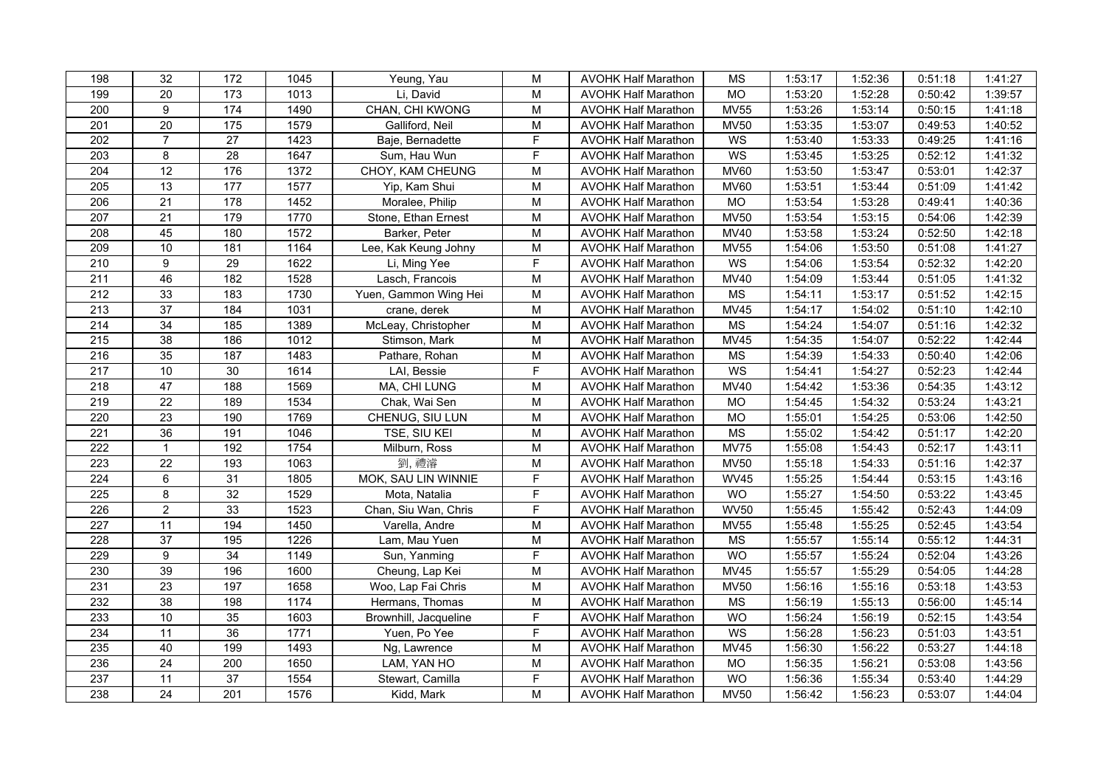| 198              | 32              | 172               | 1045 | Yeung, Yau            | M                                                                                     | <b>AVOHK Half Marathon</b> | MS                     | 1:53:17 | 1:52:36 | 0:51:18 | 1:41:27 |
|------------------|-----------------|-------------------|------|-----------------------|---------------------------------------------------------------------------------------|----------------------------|------------------------|---------|---------|---------|---------|
| 199              | 20              | 173               | 1013 | Li, David             | M                                                                                     | <b>AVOHK Half Marathon</b> | <b>MO</b>              | 1:53:20 | 1:52:28 | 0:50:42 | 1:39:57 |
| 200              | $\overline{9}$  | 174               | 1490 | CHAN, CHI KWONG       | M                                                                                     | <b>AVOHK Half Marathon</b> | <b>MV55</b>            | 1:53:26 | 1:53:14 | 0:50:15 | 1:41:18 |
| $\overline{201}$ | $\overline{20}$ | $\frac{175}{175}$ | 1579 | Galliford, Neil       | ${\sf M}$                                                                             | <b>AVOHK Half Marathon</b> | <b>MV50</b>            | 1:53:35 | 1:53:07 | 0:49:53 | 1:40:52 |
| 202              | $\overline{7}$  | 27                | 1423 | Baje, Bernadette      | F                                                                                     | <b>AVOHK Half Marathon</b> | WS                     | 1:53:40 | 1:53:33 | 0:49:25 | 1:41:16 |
| 203              | 8               | 28                | 1647 | Sum, Hau Wun          | F                                                                                     | <b>AVOHK Half Marathon</b> | WS                     | 1:53:45 | 1:53:25 | 0:52:12 | 1:41:32 |
| 204              | 12              | 176               | 1372 | CHOY, KAM CHEUNG      | ${\sf M}$                                                                             | <b>AVOHK Half Marathon</b> | <b>MV60</b>            | 1:53:50 | 1:53:47 | 0:53:01 | 1:42:37 |
| 205              | $\overline{13}$ | 177               | 1577 | Yip, Kam Shui         | ${\sf M}$                                                                             | <b>AVOHK Half Marathon</b> | <b>MV60</b>            | 1:53:51 | 1:53:44 | 0:51:09 | 1:41:42 |
| 206              | 21              | 178               | 1452 | Moralee, Philip       | M                                                                                     | <b>AVOHK Half Marathon</b> | $\overline{MO}$        | 1:53:54 | 1:53:28 | 0:49:41 | 1:40:36 |
| 207              | 21              | 179               | 1770 | Stone, Ethan Ernest   | M                                                                                     | <b>AVOHK Half Marathon</b> | <b>MV50</b>            | 1:53:54 | 1:53:15 | 0:54:06 | 1:42:39 |
| 208              | 45              | 180               | 1572 | Barker, Peter         | M                                                                                     | <b>AVOHK Half Marathon</b> | <b>MV40</b>            | 1:53:58 | 1:53:24 | 0:52:50 | 1:42:18 |
| 209              | 10              | 181               | 1164 | Lee, Kak Keung Johny  | $\mathsf{M}% _{T}=\mathsf{M}_{T}\!\left( a,b\right) ,\ \mathsf{M}_{T}=\mathsf{M}_{T}$ | <b>AVOHK Half Marathon</b> | <b>MV55</b>            | 1:54:06 | 1:53:50 | 0:51:08 | 1:41:27 |
| 210              | 9               | 29                | 1622 | Li, Ming Yee          | $\mathsf F$                                                                           | <b>AVOHK Half Marathon</b> | WS                     | 1:54:06 | 1:53:54 | 0:52:32 | 1:42:20 |
| $\overline{211}$ | 46              | 182               | 1528 | Lasch, Francois       | $\mathsf{M}% _{T}=\mathsf{M}_{T}\!\left( a,b\right) ,\ \mathsf{M}_{T}=\mathsf{M}_{T}$ | <b>AVOHK Half Marathon</b> | <b>MV40</b>            | 1:54:09 | 1:53:44 | 0:51:05 | 1:41:32 |
| 212              | 33              | 183               | 1730 | Yuen, Gammon Wing Hei | M                                                                                     | <b>AVOHK Half Marathon</b> | <b>MS</b>              | 1:54:11 | 1:53:17 | 0:51:52 | 1:42:15 |
| 213              | 37              | 184               | 1031 | crane, derek          | M                                                                                     | <b>AVOHK Half Marathon</b> | <b>MV45</b>            | 1:54:17 | 1:54:02 | 0:51:10 | 1:42:10 |
| 214              | 34              | 185               | 1389 | McLeay, Christopher   | M                                                                                     | <b>AVOHK Half Marathon</b> | <b>MS</b>              | 1:54:24 | 1:54:07 | 0:51:16 | 1:42:32 |
| 215              | 38              | 186               | 1012 | Stimson, Mark         | $\mathsf{M}% _{T}=\mathsf{M}_{T}\!\left( a,b\right) ,\ \mathsf{M}_{T}=\mathsf{M}_{T}$ | <b>AVOHK Half Marathon</b> | MV45                   | 1:54:35 | 1:54:07 | 0:52:22 | 1:42:44 |
| 216              | 35              | 187               | 1483 | Pathare, Rohan        | $\overline{M}$                                                                        | <b>AVOHK Half Marathon</b> | $\overline{\text{MS}}$ | 1:54:39 | 1:54:33 | 0:50:40 | 1:42:06 |
| 217              | 10              | 30                | 1614 | LAI, Bessie           | F                                                                                     | <b>AVOHK Half Marathon</b> | WS                     | 1:54:41 | 1:54:27 | 0:52:23 | 1:42:44 |
| 218              | 47              | 188               | 1569 | MA, CHI LUNG          | $\mathsf{M}% _{T}=\mathsf{M}_{T}\!\left( a,b\right) ,\ \mathsf{M}_{T}=\mathsf{M}_{T}$ | <b>AVOHK Half Marathon</b> | <b>MV40</b>            | 1:54:42 | 1:53:36 | 0:54:35 | 1:43:12 |
| 219              | $\overline{22}$ | 189               | 1534 | Chak, Wai Sen         | M                                                                                     | <b>AVOHK Half Marathon</b> | $\overline{MO}$        | 1:54:45 | 1:54:32 | 0:53:24 | 1:43:21 |
| 220              | $\overline{23}$ | 190               | 1769 | CHENUG, SIU LUN       | M                                                                                     | <b>AVOHK Half Marathon</b> | MO                     | 1:55:01 | 1:54:25 | 0:53:06 | 1:42:50 |
| $\overline{221}$ | $\overline{36}$ | 191               | 1046 | TSE, SIU KEI          | M                                                                                     | <b>AVOHK Half Marathon</b> | <b>MS</b>              | 1:55:02 | 1:54:42 | 0:51:17 | 1:42:20 |
| 222              | $\mathbf{1}$    | 192               | 1754 | Milburn, Ross         | M                                                                                     | <b>AVOHK Half Marathon</b> | <b>MV75</b>            | 1:55:08 | 1:54:43 | 0:52:17 | 1:43:11 |
| 223              | 22              | 193               | 1063 | 劉,禮濬                  | ${\sf M}$                                                                             | <b>AVOHK Half Marathon</b> | <b>MV50</b>            | 1:55:18 | 1:54:33 | 0:51:16 | 1:42:37 |
| 224              | 6               | 31                | 1805 | MOK, SAU LIN WINNIE   | $\mathsf F$                                                                           | <b>AVOHK Half Marathon</b> | <b>WV45</b>            | 1:55:25 | 1:54:44 | 0:53:15 | 1:43:16 |
| 225              | 8               | 32                | 1529 | Mota, Natalia         | $\mathsf F$                                                                           | <b>AVOHK Half Marathon</b> | WO                     | 1:55:27 | 1:54:50 | 0:53:22 | 1:43:45 |
| 226              | $\overline{2}$  | 33                | 1523 | Chan, Siu Wan, Chris  | F                                                                                     | <b>AVOHK Half Marathon</b> | <b>WV50</b>            | 1:55:45 | 1:55:42 | 0:52:43 | 1:44:09 |
| 227              | 11              | 194               | 1450 | Varella, Andre        | M                                                                                     | <b>AVOHK Half Marathon</b> | <b>MV55</b>            | 1:55:48 | 1:55:25 | 0:52:45 | 1:43:54 |
| 228              | $\overline{37}$ | 195               | 1226 | Lam, Mau Yuen         | M                                                                                     | <b>AVOHK Half Marathon</b> | <b>MS</b>              | 1:55:57 | 1:55:14 | 0:55:12 | 1:44:31 |
| 229              | 9               | 34                | 1149 | Sun, Yanming          | F                                                                                     | <b>AVOHK Half Marathon</b> | <b>WO</b>              | 1:55:57 | 1:55:24 | 0:52:04 | 1:43:26 |
| 230              | 39              | 196               | 1600 | Cheung, Lap Kei       | M                                                                                     | <b>AVOHK Half Marathon</b> | <b>MV45</b>            | 1:55:57 | 1:55:29 | 0:54:05 | 1:44:28 |
| 231              | 23              | 197               | 1658 | Woo, Lap Fai Chris    | ${\sf M}$                                                                             | <b>AVOHK Half Marathon</b> | <b>MV50</b>            | 1:56:16 | 1:55:16 | 0:53:18 | 1:43:53 |
| 232              | $\overline{38}$ | 198               | 1174 | Hermans, Thomas       | M                                                                                     | <b>AVOHK Half Marathon</b> | <b>MS</b>              | 1:56:19 | 1:55:13 | 0:56:00 | 1:45:14 |
| 233              | 10              | 35                | 1603 | Brownhill, Jacqueline | F                                                                                     | <b>AVOHK Half Marathon</b> | <b>WO</b>              | 1:56:24 | 1:56:19 | 0:52:15 | 1:43:54 |
| 234              | $\overline{11}$ | 36                | 1771 | Yuen, Po Yee          | $\overline{F}$                                                                        | <b>AVOHK Half Marathon</b> | WS                     | 1:56:28 | 1:56:23 | 0:51:03 | 1:43:51 |
| 235              | 40              | 199               | 1493 | Ng, Lawrence          | ${\sf M}$                                                                             | <b>AVOHK Half Marathon</b> | <b>MV45</b>            | 1:56:30 | 1:56:22 | 0:53:27 | 1:44:18 |
| 236              | 24              | 200               | 1650 | LAM, YAN HO           | ${\sf M}$                                                                             | <b>AVOHK Half Marathon</b> | MO                     | 1:56:35 | 1:56:21 | 0:53:08 | 1:43:56 |
| 237              | 11              | 37                | 1554 | Stewart, Camilla      | F                                                                                     | <b>AVOHK Half Marathon</b> | <b>WO</b>              | 1:56:36 | 1:55:34 | 0:53:40 | 1:44:29 |
| 238              | 24              | $\overline{201}$  | 1576 | Kidd, Mark            | M                                                                                     | <b>AVOHK Half Marathon</b> | <b>MV50</b>            | 1:56:42 | 1:56:23 | 0:53:07 | 1:44:04 |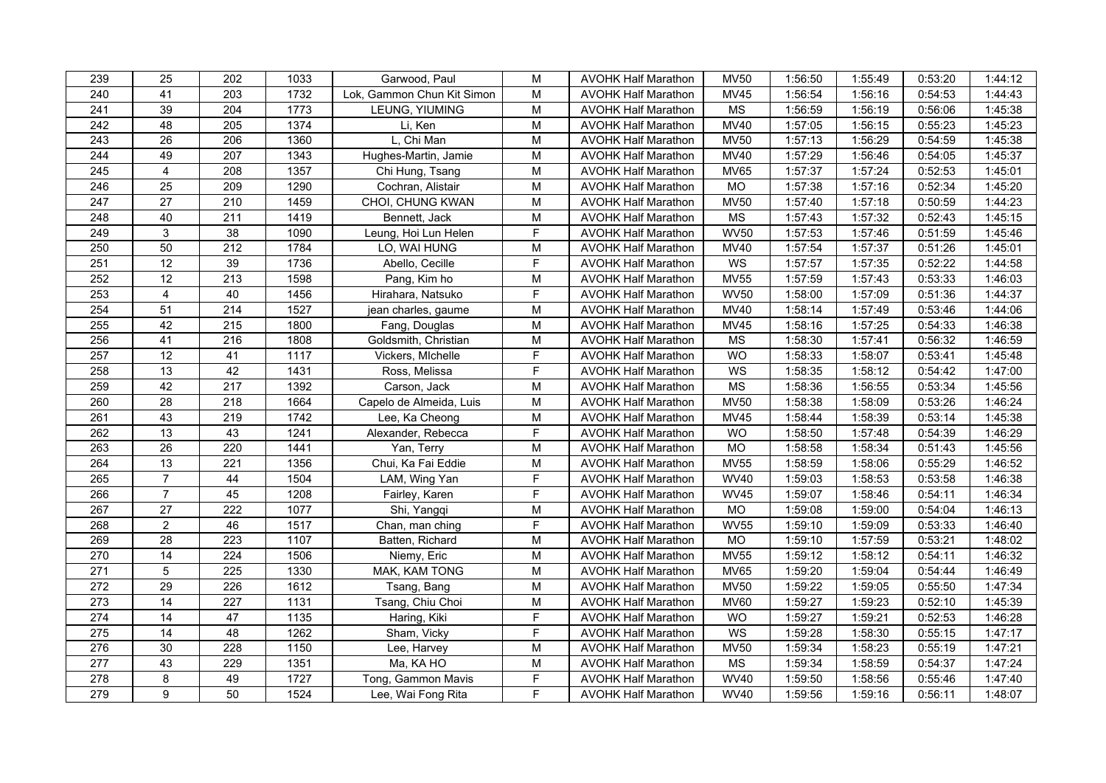| 239              | 25              | 202              | 1033 | Garwood, Paul              | M                                                                                     | <b>AVOHK Half Marathon</b> | <b>MV50</b> | 1:56:50 | 1:55:49 | 0:53:20 | 1:44:12 |
|------------------|-----------------|------------------|------|----------------------------|---------------------------------------------------------------------------------------|----------------------------|-------------|---------|---------|---------|---------|
| 240              | 41              | 203              | 1732 | Lok, Gammon Chun Kit Simon | M                                                                                     | <b>AVOHK Half Marathon</b> | MV45        | 1:56:54 | 1:56:16 | 0:54:53 | 1:44:43 |
| 241              | 39              | 204              | 1773 | LEUNG, YIUMING             | M                                                                                     | <b>AVOHK Half Marathon</b> | <b>MS</b>   | 1:56:59 | 1:56:19 | 0:56:06 | 1:45:38 |
| 242              | 48              | 205              | 1374 | Li, Ken                    | $\mathsf{M}% _{T}=\mathsf{M}_{T}\!\left( a,b\right) ,\ \mathsf{M}_{T}=\mathsf{M}_{T}$ | <b>AVOHK Half Marathon</b> | MV40        | 1:57:05 | 1:56:15 | 0:55:23 | 1:45:23 |
| 243              | $\overline{26}$ | 206              | 1360 | L, Chi Man                 | M                                                                                     | <b>AVOHK Half Marathon</b> | <b>MV50</b> | 1:57:13 | 1:56:29 | 0:54:59 | 1:45:38 |
| 244              | 49              | 207              | 1343 | Hughes-Martin, Jamie       | M                                                                                     | <b>AVOHK Half Marathon</b> | MV40        | 1:57:29 | 1:56:46 | 0:54:05 | 1:45:37 |
| 245              | $\overline{4}$  | 208              | 1357 | Chi Hung, Tsang            | M                                                                                     | <b>AVOHK Half Marathon</b> | <b>MV65</b> | 1:57:37 | 1:57:24 | 0:52:53 | 1:45:01 |
| 246              | 25              | 209              | 1290 | Cochran, Alistair          | M                                                                                     | <b>AVOHK Half Marathon</b> | <b>MO</b>   | 1:57:38 | 1:57:16 | 0:52:34 | 1:45:20 |
| $\overline{247}$ | 27              | 210              | 1459 | CHOI, CHUNG KWAN           | M                                                                                     | <b>AVOHK Half Marathon</b> | <b>MV50</b> | 1:57:40 | 1:57:18 | 0:50:59 | 1:44:23 |
| 248              | 40              | 211              | 1419 | Bennett, Jack              | M                                                                                     | <b>AVOHK Half Marathon</b> | <b>MS</b>   | 1:57:43 | 1:57:32 | 0:52:43 | 1:45:15 |
| 249              | 3               | 38               | 1090 | Leung, Hoi Lun Helen       | F                                                                                     | <b>AVOHK Half Marathon</b> | <b>WV50</b> | 1:57:53 | 1:57:46 | 0:51:59 | 1:45:46 |
| 250              | 50              | 212              | 1784 | LO, WAI HUNG               | M                                                                                     | <b>AVOHK Half Marathon</b> | <b>MV40</b> | 1:57:54 | 1:57:37 | 0:51:26 | 1:45:01 |
| 251              | $\overline{12}$ | 39               | 1736 | Abello, Cecille            | $\mathsf F$                                                                           | <b>AVOHK Half Marathon</b> | WS          | 1:57:57 | 1:57:35 | 0:52:22 | 1:44:58 |
| 252              | $\overline{12}$ | $\overline{213}$ | 1598 | Pang, Kim ho               | M                                                                                     | <b>AVOHK Half Marathon</b> | <b>MV55</b> | 1:57:59 | 1:57:43 | 0:53:33 | 1:46:03 |
| 253              | $\overline{4}$  | 40               | 1456 | Hirahara, Natsuko          | $\overline{F}$                                                                        | <b>AVOHK Half Marathon</b> | <b>WV50</b> | 1:58:00 | 1:57:09 | 0:51:36 | 1:44:37 |
| 254              | 51              | 214              | 1527 | jean charles, gaume        | M                                                                                     | <b>AVOHK Half Marathon</b> | <b>MV40</b> | 1:58:14 | 1:57:49 | 0:53:46 | 1:44:06 |
| 255              | 42              | 215              | 1800 | Fang, Douglas              | M                                                                                     | <b>AVOHK Half Marathon</b> | <b>MV45</b> | 1:58:16 | 1:57:25 | 0:54:33 | 1:46:38 |
| 256              | 41              | 216              | 1808 | Goldsmith, Christian       | M                                                                                     | <b>AVOHK Half Marathon</b> | <b>MS</b>   | 1:58:30 | 1:57:41 | 0:56:32 | 1:46:59 |
| 257              | 12              | 41               | 1117 | Vickers, MIchelle          | $\overline{F}$                                                                        | <b>AVOHK Half Marathon</b> | WO          | 1:58:33 | 1:58:07 | 0:53:41 | 1:45:48 |
| 258              | 13              | 42               | 1431 | Ross, Melissa              | F                                                                                     | <b>AVOHK Half Marathon</b> | WS          | 1:58:35 | 1:58:12 | 0:54:42 | 1:47:00 |
| 259              | 42              | 217              | 1392 | Carson, Jack               | M                                                                                     | <b>AVOHK Half Marathon</b> | <b>MS</b>   | 1:58:36 | 1:56:55 | 0:53:34 | 1:45:56 |
| 260              | 28              | 218              | 1664 | Capelo de Almeida, Luis    | M                                                                                     | <b>AVOHK Half Marathon</b> | <b>MV50</b> | 1:58:38 | 1:58:09 | 0:53:26 | 1:46:24 |
| 261              | 43              | 219              | 1742 | Lee, Ka Cheong             | M                                                                                     | <b>AVOHK Half Marathon</b> | <b>MV45</b> | 1:58:44 | 1:58:39 | 0:53:14 | 1:45:38 |
| 262              | $\overline{13}$ | 43               | 1241 | Alexander, Rebecca         | F                                                                                     | <b>AVOHK Half Marathon</b> | <b>WO</b>   | 1:58:50 | 1:57:48 | 0:54:39 | 1:46:29 |
| 263              | 26              | 220              | 1441 | Yan, Terry                 | M                                                                                     | <b>AVOHK Half Marathon</b> | <b>MO</b>   | 1:58:58 | 1:58:34 | 0:51:43 | 1:45:56 |
| 264              | 13              | 221              | 1356 | Chui, Ka Fai Eddie         | M                                                                                     | <b>AVOHK Half Marathon</b> | <b>MV55</b> | 1:58:59 | 1:58:06 | 0:55:29 | 1:46:52 |
| 265              | $\overline{7}$  | 44               | 1504 | LAM, Wing Yan              | $\mathsf F$                                                                           | <b>AVOHK Half Marathon</b> | <b>WV40</b> | 1:59:03 | 1:58:53 | 0:53:58 | 1:46:38 |
| 266              | $\overline{7}$  | 45               | 1208 | Fairley, Karen             | $\overline{F}$                                                                        | <b>AVOHK Half Marathon</b> | <b>WV45</b> | 1:59:07 | 1:58:46 | 0:54:11 | 1:46:34 |
| 267              | $\overline{27}$ | 222              | 1077 | Shi, Yangqi                | M                                                                                     | <b>AVOHK Half Marathon</b> | <b>MO</b>   | 1:59:08 | 1:59:00 | 0:54:04 | 1:46:13 |
| 268              | $\overline{2}$  | 46               | 1517 | Chan, man ching            | F                                                                                     | <b>AVOHK Half Marathon</b> | <b>WV55</b> | 1:59:10 | 1:59:09 | 0:53:33 | 1:46:40 |
| 269              | 28              | 223              | 1107 | Batten, Richard            | M                                                                                     | <b>AVOHK Half Marathon</b> | <b>MO</b>   | 1:59:10 | 1:57:59 | 0:53:21 | 1:48:02 |
| 270              | 14              | 224              | 1506 | Niemy, Eric                | M                                                                                     | <b>AVOHK Half Marathon</b> | <b>MV55</b> | 1:59:12 | 1:58:12 | 0:54:11 | 1:46:32 |
| 271              | $\sqrt{5}$      | 225              | 1330 | MAK, KAM TONG              | M                                                                                     | <b>AVOHK Half Marathon</b> | <b>MV65</b> | 1:59:20 | 1:59:04 | 0:54:44 | 1:46:49 |
| 272              | $\overline{29}$ | 226              | 1612 | Tsang, Bang                | M                                                                                     | <b>AVOHK Half Marathon</b> | <b>MV50</b> | 1:59:22 | 1:59:05 | 0:55:50 | 1:47:34 |
| 273              | 14              | 227              | 1131 | Tsang, Chiu Choi           | M                                                                                     | <b>AVOHK Half Marathon</b> | <b>MV60</b> | 1:59:27 | 1:59:23 | 0:52:10 | 1:45:39 |
| 274              | $\overline{14}$ | $\overline{47}$  | 1135 | Haring, Kiki               | F                                                                                     | <b>AVOHK Half Marathon</b> | <b>WO</b>   | 1:59:27 | 1:59:21 | 0:52:53 | 1:46:28 |
| 275              | 14              | 48               | 1262 | Sham, Vicky                | $\overline{F}$                                                                        | <b>AVOHK Half Marathon</b> | WS          | 1:59:28 | 1:58:30 | 0:55:15 | 1:47:17 |
| 276              | 30              | 228              | 1150 | Lee, Harvey                | M                                                                                     | <b>AVOHK Half Marathon</b> | <b>MV50</b> | 1:59:34 | 1:58:23 | 0:55:19 | 1:47:21 |
| 277              | 43              | 229              | 1351 | Ma, KA HO                  | M                                                                                     | <b>AVOHK Half Marathon</b> | <b>MS</b>   | 1:59:34 | 1:58:59 | 0:54:37 | 1:47:24 |
| 278              | 8               | 49               | 1727 | Tong, Gammon Mavis         | F                                                                                     | <b>AVOHK Half Marathon</b> | <b>WV40</b> | 1:59:50 | 1:58:56 | 0:55:46 | 1:47:40 |
| 279              | $\overline{9}$  | 50               | 1524 | Lee, Wai Fong Rita         | $\overline{F}$                                                                        | <b>AVOHK Half Marathon</b> | <b>WV40</b> | 1:59:56 | 1:59:16 | 0:56:11 | 1:48:07 |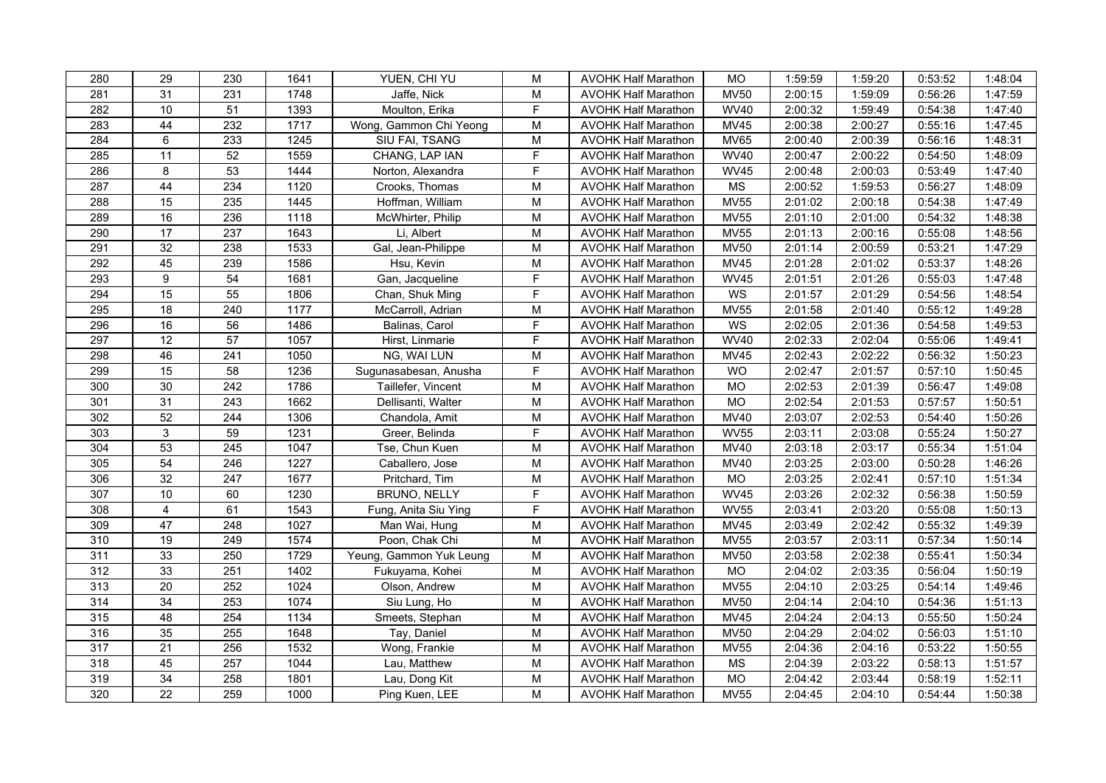| 280              | 29              | 230              | 1641 | YUEN, CHI YU            | M                                                                                     | <b>AVOHK Half Marathon</b> | <b>MO</b>              | 1:59:59 | 1:59:20 | 0:53:52 | 1:48:04 |
|------------------|-----------------|------------------|------|-------------------------|---------------------------------------------------------------------------------------|----------------------------|------------------------|---------|---------|---------|---------|
| 281              | 31              | 231              | 1748 | Jaffe, Nick             | M                                                                                     | <b>AVOHK Half Marathon</b> | <b>MV50</b>            | 2:00:15 | 1:59:09 | 0:56:26 | 1:47:59 |
| 282              | 10              | 51               | 1393 | Moulton, Erika          | $\overline{F}$                                                                        | <b>AVOHK Half Marathon</b> | <b>WV40</b>            | 2:00:32 | 1:59:49 | 0:54:38 | 1:47:40 |
| 283              | 44              | 232              | 1717 | Wong, Gammon Chi Yeong  | ${\sf M}$                                                                             | <b>AVOHK Half Marathon</b> | <b>MV45</b>            | 2:00:38 | 2:00:27 | 0:55:16 | 1:47:45 |
| 284              | 6               | 233              | 1245 | SIU FAI, TSANG          | M                                                                                     | <b>AVOHK Half Marathon</b> | <b>MV65</b>            | 2:00:40 | 2:00:39 | 0:56:16 | 1:48:31 |
| 285              | 11              | 52               | 1559 | CHANG, LAP IAN          | F                                                                                     | <b>AVOHK Half Marathon</b> | <b>WV40</b>            | 2:00:47 | 2:00:22 | 0:54:50 | 1:48:09 |
| 286              | 8               | 53               | 1444 | Norton, Alexandra       | F                                                                                     | <b>AVOHK Half Marathon</b> | <b>WV45</b>            | 2:00:48 | 2:00:03 | 0:53:49 | 1:47:40 |
| 287              | 44              | 234              | 1120 | Crooks, Thomas          | ${\sf M}$                                                                             | <b>AVOHK Half Marathon</b> | $\overline{\text{MS}}$ | 2:00:52 | 1:59:53 | 0:56:27 | 1:48:09 |
| 288              | $\overline{15}$ | 235              | 1445 | Hoffman, William        | M                                                                                     | <b>AVOHK Half Marathon</b> | <b>MV55</b>            | 2:01:02 | 2:00:18 | 0:54:38 | 1:47:49 |
| 289              | 16              | 236              | 1118 | McWhirter, Philip       | M                                                                                     | <b>AVOHK Half Marathon</b> | <b>MV55</b>            | 2:01:10 | 2:01:00 | 0:54:32 | 1:48:38 |
| 290              | 17              | 237              | 1643 | Li, Albert              | M                                                                                     | <b>AVOHK Half Marathon</b> | <b>MV55</b>            | 2:01:13 | 2:00:16 | 0:55:08 | 1:48:56 |
| 291              | 32              | 238              | 1533 | Gal, Jean-Philippe      | $\mathsf{M}% _{T}=\mathsf{M}_{T}\!\left( a,b\right) ,\ \mathsf{M}_{T}=\mathsf{M}_{T}$ | <b>AVOHK Half Marathon</b> | <b>MV50</b>            | 2:01:14 | 2:00:59 | 0:53:21 | 1:47:29 |
| 292              | 45              | 239              | 1586 | Hsu, Kevin              | M                                                                                     | <b>AVOHK Half Marathon</b> | <b>MV45</b>            | 2:01:28 | 2:01:02 | 0:53:37 | 1:48:26 |
| 293              | $\overline{9}$  | 54               | 1681 | Gan, Jacqueline         | $\overline{F}$                                                                        | <b>AVOHK Half Marathon</b> | <b>WV45</b>            | 2:01:51 | 2:01:26 | 0:55:03 | 1:47:48 |
| 294              | 15              | 55               | 1806 | Chan, Shuk Ming         | F                                                                                     | <b>AVOHK Half Marathon</b> | WS                     | 2:01:57 | 2:01:29 | 0:54:56 | 1:48:54 |
| 295              | 18              | 240              | 1177 | McCarroll, Adrian       | M                                                                                     | <b>AVOHK Half Marathon</b> | <b>MV55</b>            | 2:01:58 | 2:01:40 | 0:55:12 | 1:49:28 |
| 296              | 16              | 56               | 1486 | Balinas, Carol          | F                                                                                     | <b>AVOHK Half Marathon</b> | WS                     | 2:02:05 | 2:01:36 | 0:54:58 | 1:49:53 |
| 297              | 12              | $\overline{57}$  | 1057 | Hirst, Linmarie         | F                                                                                     | <b>AVOHK Half Marathon</b> | <b>WV40</b>            | 2:02:33 | 2:02:04 | 0:55:06 | 1:49:41 |
| 298              | 46              | $\overline{241}$ | 1050 | NG, WAI LUN             | M                                                                                     | <b>AVOHK Half Marathon</b> | <b>MV45</b>            | 2:02:43 | 2:02:22 | 0:56:32 | 1:50:23 |
| 299              | 15              | 58               | 1236 | Sugunasabesan, Anusha   | F                                                                                     | <b>AVOHK Half Marathon</b> | <b>WO</b>              | 2:02:47 | 2:01:57 | 0:57:10 | 1:50:45 |
| 300              | 30              | 242              | 1786 | Taillefer, Vincent      | $\mathsf{M}% _{T}=\mathsf{M}_{T}\!\left( a,b\right) ,\ \mathsf{M}_{T}=\mathsf{M}_{T}$ | <b>AVOHK Half Marathon</b> | <b>MO</b>              | 2:02:53 | 2:01:39 | 0:56:47 | 1:49:08 |
| 301              | $\overline{31}$ | $\overline{243}$ | 1662 | Dellisanti, Walter      | M                                                                                     | <b>AVOHK Half Marathon</b> | $\overline{MO}$        | 2:02:54 | 2:01:53 | 0:57:57 | 1:50:51 |
| 302              | 52              | 244              | 1306 | Chandola, Amit          | $\mathsf{M}% _{T}=\mathsf{M}_{T}\!\left( a,b\right) ,\ \mathsf{M}_{T}=\mathsf{M}_{T}$ | <b>AVOHK Half Marathon</b> | <b>MV40</b>            | 2:03:07 | 2:02:53 | 0:54:40 | 1:50:26 |
| 303              | 3               | 59               | 1231 | Greer, Belinda          | F                                                                                     | <b>AVOHK Half Marathon</b> | <b>WV55</b>            | 2:03:11 | 2:03:08 | 0:55:24 | 1:50:27 |
| 304              | 53              | 245              | 1047 | Tse, Chun Kuen          | M                                                                                     | <b>AVOHK Half Marathon</b> | <b>MV40</b>            | 2:03:18 | 2:03:17 | 0:55:34 | 1:51:04 |
| 305              | 54              | 246              | 1227 | Caballero, Jose         | ${\sf M}$                                                                             | <b>AVOHK Half Marathon</b> | <b>MV40</b>            | 2:03:25 | 2:03:00 | 0:50:28 | 1:46:26 |
| 306              | $\overline{32}$ | 247              | 1677 | Pritchard, Tim          | ${\sf M}$                                                                             | <b>AVOHK Half Marathon</b> | MO                     | 2:03:25 | 2:02:41 | 0:57:10 | 1:51:34 |
| 307              | 10              | 60               | 1230 | BRUNO, NELLY            | $\overline{F}$                                                                        | <b>AVOHK Half Marathon</b> | <b>WV45</b>            | 2:03:26 | 2:02:32 | 0:56:38 | 1:50:59 |
| 308              | 4               | 61               | 1543 | Fung, Anita Siu Ying    | F                                                                                     | <b>AVOHK Half Marathon</b> | <b>WV55</b>            | 2:03:41 | 2:03:20 | 0:55:08 | 1:50:13 |
| 309              | 47              | 248              | 1027 | Man Wai, Hung           | M                                                                                     | <b>AVOHK Half Marathon</b> | <b>MV45</b>            | 2:03:49 | 2:02:42 | 0:55:32 | 1:49:39 |
| 310              | 19              | 249              | 1574 | Poon, Chak Chi          | M                                                                                     | <b>AVOHK Half Marathon</b> | <b>MV55</b>            | 2:03:57 | 2:03:11 | 0:57:34 | 1:50:14 |
| 311              | 33              | 250              | 1729 | Yeung, Gammon Yuk Leung | M                                                                                     | <b>AVOHK Half Marathon</b> | <b>MV50</b>            | 2:03:58 | 2:02:38 | 0:55:41 | 1:50:34 |
| 312              | 33              | 251              | 1402 | Fukuyama, Kohei         | M                                                                                     | <b>AVOHK Half Marathon</b> | $\overline{MO}$        | 2:04:02 | 2:03:35 | 0:56:04 | 1:50:19 |
| 313              | 20              | 252              | 1024 | Olson, Andrew           | $\mathsf{M}% _{T}=\mathsf{M}_{T}\!\left( a,b\right) ,\ \mathsf{M}_{T}=\mathsf{M}_{T}$ | <b>AVOHK Half Marathon</b> | <b>MV55</b>            | 2:04:10 | 2:03:25 | 0:54:14 | 1:49:46 |
| $\overline{314}$ | $\overline{34}$ | 253              | 1074 | Siu Lung, Ho            | M                                                                                     | <b>AVOHK Half Marathon</b> | <b>MV50</b>            | 2:04:14 | 2:04:10 | 0:54:36 | 1:51:13 |
| 315              | 48              | 254              | 1134 | Smeets, Stephan         | M                                                                                     | <b>AVOHK Half Marathon</b> | <b>MV45</b>            | 2:04:24 | 2:04:13 | 0:55:50 | 1:50:24 |
| 316              | 35              | 255              | 1648 | Tay, Daniel             | M                                                                                     | <b>AVOHK Half Marathon</b> | <b>MV50</b>            | 2:04:29 | 2:04:02 | 0:56:03 | 1:51:10 |
| $\overline{317}$ | $\overline{21}$ | 256              | 1532 | Wong, Frankie           | ${\sf M}$                                                                             | <b>AVOHK Half Marathon</b> | <b>MV55</b>            | 2:04:36 | 2:04:16 | 0:53:22 | 1:50:55 |
| 318              | 45              | 257              | 1044 | Lau, Matthew            | M                                                                                     | <b>AVOHK Half Marathon</b> | <b>MS</b>              | 2:04:39 | 2:03:22 | 0:58:13 | 1:51:57 |
| 319              | 34              | 258              | 1801 | Lau, Dong Kit           | ${\sf M}$                                                                             | <b>AVOHK Half Marathon</b> | <b>MO</b>              | 2:04:42 | 2:03:44 | 0:58:19 | 1:52:11 |
| 320              | $\overline{22}$ | 259              | 1000 | Ping Kuen, LEE          | $\overline{M}$                                                                        | <b>AVOHK Half Marathon</b> | <b>MV55</b>            | 2:04:45 | 2:04:10 | 0:54:44 | 1:50:38 |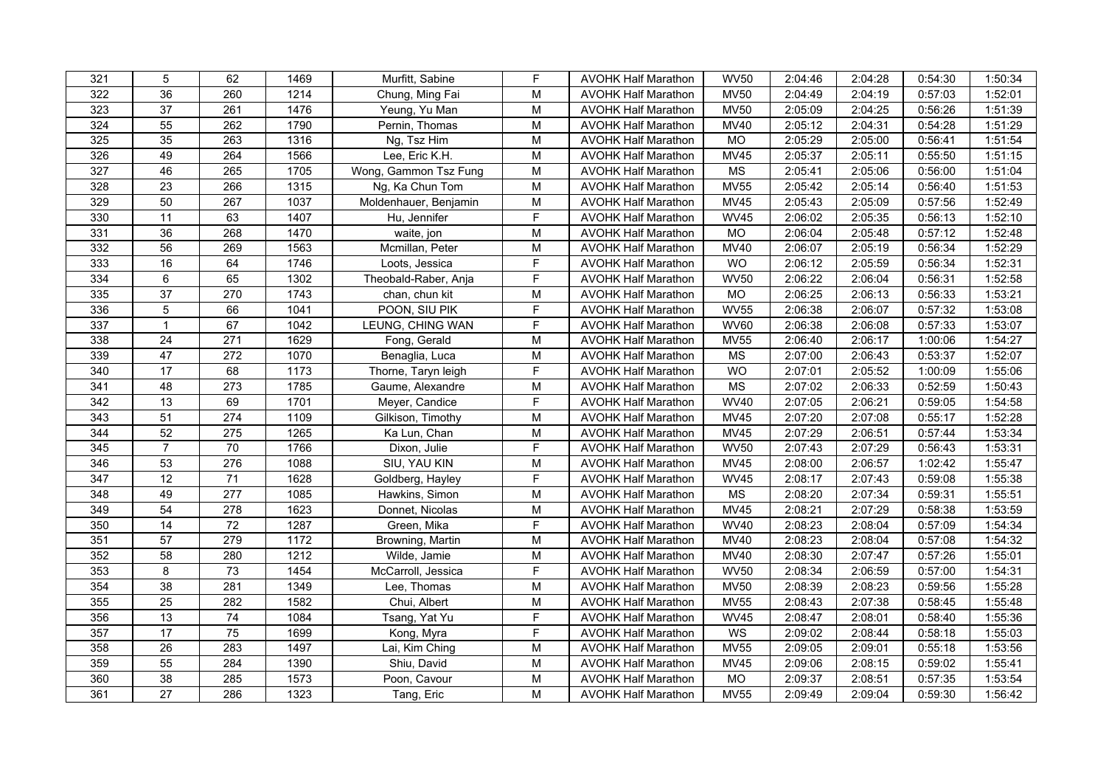| 321              | $\overline{5}$  | 62               | 1469 | Murfitt, Sabine       | $\mathsf F$                                                                           | <b>AVOHK Half Marathon</b> | <b>WV50</b>            | 2:04:46 | 2:04:28 | 0:54:30 | 1:50:34 |
|------------------|-----------------|------------------|------|-----------------------|---------------------------------------------------------------------------------------|----------------------------|------------------------|---------|---------|---------|---------|
| 322              | 36              | 260              | 1214 | Chung, Ming Fai       | ${\sf M}$                                                                             | <b>AVOHK Half Marathon</b> | <b>MV50</b>            | 2:04:49 | 2:04:19 | 0:57:03 | 1:52:01 |
| 323              | 37              | 261              | 1476 | Yeung, Yu Man         | ${\sf M}$                                                                             | <b>AVOHK Half Marathon</b> | <b>MV50</b>            | 2:05:09 | 2:04:25 | 0:56:26 | 1:51:39 |
| 324              | $\overline{55}$ | 262              | 1790 | Pernin, Thomas        | ${\sf M}$                                                                             | <b>AVOHK Half Marathon</b> | <b>MV40</b>            | 2:05:12 | 2:04:31 | 0:54:28 | 1:51:29 |
| 325              | 35              | 263              | 1316 | Ng, Tsz Him           | M                                                                                     | <b>AVOHK Half Marathon</b> | MO                     | 2:05:29 | 2:05:00 | 0:56:41 | 1:51:54 |
| 326              | 49              | 264              | 1566 | Lee, Eric K.H.        | M                                                                                     | <b>AVOHK Half Marathon</b> | <b>MV45</b>            | 2:05:37 | 2:05:11 | 0:55:50 | 1:51:15 |
| 327              | 46              | 265              | 1705 | Wong, Gammon Tsz Fung | ${\sf M}$                                                                             | <b>AVOHK Half Marathon</b> | MS                     | 2:05:41 | 2:05:06 | 0:56:00 | 1:51:04 |
| 328              | $\overline{23}$ | 266              | 1315 | Ng, Ka Chun Tom       | ${\sf M}$                                                                             | <b>AVOHK Half Marathon</b> | <b>MV55</b>            | 2:05:42 | 2:05:14 | 0:56:40 | 1:51:53 |
| 329              | 50              | 267              | 1037 | Moldenhauer, Benjamin | M                                                                                     | <b>AVOHK Half Marathon</b> | <b>MV45</b>            | 2:05:43 | 2:05:09 | 0:57:56 | 1:52:49 |
| 330              | 11              | 63               | 1407 | Hu, Jennifer          | F                                                                                     | <b>AVOHK Half Marathon</b> | <b>WV45</b>            | 2:06:02 | 2:05:35 | 0:56:13 | 1:52:10 |
| 331              | 36              | 268              | 1470 | waite, jon            | M                                                                                     | <b>AVOHK Half Marathon</b> | <b>MO</b>              | 2:06:04 | 2:05:48 | 0:57:12 | 1:52:48 |
| 332              | 56              | 269              | 1563 | Mcmillan, Peter       | ${\sf M}$                                                                             | <b>AVOHK Half Marathon</b> | <b>MV40</b>            | 2:06:07 | 2:05:19 | 0:56:34 | 1:52:29 |
| 333              | 16              | 64               | 1746 | Loots, Jessica        | F                                                                                     | <b>AVOHK Half Marathon</b> | <b>WO</b>              | 2:06:12 | 2:05:59 | 0:56:34 | 1:52:31 |
| $\frac{1}{334}$  | 6               | 65               | 1302 | Theobald-Raber, Anja  | $\overline{F}$                                                                        | <b>AVOHK Half Marathon</b> | <b>WV50</b>            | 2:06:22 | 2:06:04 | 0:56:31 | 1:52:58 |
| 335              | $\overline{37}$ | 270              | 1743 | chan, chun kit        | M                                                                                     | <b>AVOHK Half Marathon</b> | <b>MO</b>              | 2:06:25 | 2:06:13 | 0:56:33 | 1:53:21 |
| 336              | 5               | 66               | 1041 | POON, SIU PIK         | F                                                                                     | <b>AVOHK Half Marathon</b> | <b>WV55</b>            | 2:06:38 | 2:06:07 | 0:57:32 | 1:53:08 |
| 337              | $\mathbf{1}$    | 67               | 1042 | LEUNG, CHING WAN      | F                                                                                     | <b>AVOHK Half Marathon</b> | <b>WV60</b>            | 2:06:38 | 2:06:08 | 0:57:33 | 1:53:07 |
| 338              | 24              | 271              | 1629 | Fong, Gerald          | M                                                                                     | <b>AVOHK Half Marathon</b> | <b>MV55</b>            | 2:06:40 | 2:06:17 | 1:00:06 | 1:54:27 |
| 339              | 47              | $\overline{272}$ | 1070 | Benaglia, Luca        | $\overline{M}$                                                                        | <b>AVOHK Half Marathon</b> | $\overline{\text{MS}}$ | 2:07:00 | 2:06:43 | 0:53:37 | 1:52:07 |
| 340              | $\overline{17}$ | 68               | 1173 | Thorne, Taryn leigh   | F                                                                                     | <b>AVOHK Half Marathon</b> | <b>WO</b>              | 2:07:01 | 2:05:52 | 1:00:09 | 1:55:06 |
| 341              | 48              | 273              | 1785 | Gaume, Alexandre      | M                                                                                     | <b>AVOHK Half Marathon</b> | <b>MS</b>              | 2:07:02 | 2:06:33 | 0:52:59 | 1:50:43 |
| 342              | $\overline{13}$ | 69               | 1701 | Meyer, Candice        | $\overline{F}$                                                                        | <b>AVOHK Half Marathon</b> | <b>WV40</b>            | 2:07:05 | 2:06:21 | 0:59:05 | 1:54:58 |
| 343              | 51              | 274              | 1109 | Gilkison, Timothy     | ${\sf M}$                                                                             | <b>AVOHK Half Marathon</b> | <b>MV45</b>            | 2:07:20 | 2:07:08 | 0:55:17 | 1:52:28 |
| 344              | 52              | 275              | 1265 | Ka Lun, Chan          | M                                                                                     | <b>AVOHK Half Marathon</b> | <b>MV45</b>            | 2:07:29 | 2:06:51 | 0:57:44 | 1:53:34 |
| 345              | $\overline{7}$  | 70               | 1766 | Dixon, Julie          | F                                                                                     | <b>AVOHK Half Marathon</b> | <b>WV50</b>            | 2:07:43 | 2:07:29 | 0:56:43 | 1:53:31 |
| 346              | 53              | 276              | 1088 | SIU, YAU KIN          | ${\sf M}$                                                                             | <b>AVOHK Half Marathon</b> | <b>MV45</b>            | 2:08:00 | 2:06:57 | 1:02:42 | 1:55:47 |
| $\overline{347}$ | $\overline{12}$ | $\overline{71}$  | 1628 | Goldberg, Hayley      | $\mathsf F$                                                                           | <b>AVOHK Half Marathon</b> | <b>WV45</b>            | 2:08:17 | 2:07:43 | 0:59:08 | 1:55:38 |
| 348              | 49              | $\overline{277}$ | 1085 | Hawkins, Simon        | $\mathsf{M}% _{T}=\mathsf{M}_{T}\!\left( a,b\right) ,\ \mathsf{M}_{T}=\mathsf{M}_{T}$ | <b>AVOHK Half Marathon</b> | $\overline{\text{MS}}$ | 2:08:20 | 2:07:34 | 0:59:31 | 1:55:51 |
| 349              | 54              | 278              | 1623 | Donnet, Nicolas       | M                                                                                     | <b>AVOHK Half Marathon</b> | <b>MV45</b>            | 2:08:21 | 2:07:29 | 0:58:38 | 1:53:59 |
| 350              | 14              | 72               | 1287 | Green, Mika           | E                                                                                     | <b>AVOHK Half Marathon</b> | <b>WV40</b>            | 2:08:23 | 2:08:04 | 0:57:09 | 1:54:34 |
| 351              | 57              | 279              | 1172 | Browning, Martin      | M                                                                                     | <b>AVOHK Half Marathon</b> | <b>MV40</b>            | 2:08:23 | 2:08:04 | 0:57:08 | 1:54:32 |
| 352              | 58              | 280              | 1212 | Wilde, Jamie          | M                                                                                     | <b>AVOHK Half Marathon</b> | <b>MV40</b>            | 2:08:30 | 2:07:47 | 0:57:26 | 1:55:01 |
| 353              | 8               | $\overline{73}$  | 1454 | McCarroll, Jessica    | $\overline{F}$                                                                        | <b>AVOHK Half Marathon</b> | <b>WV50</b>            | 2:08:34 | 2:06:59 | 0:57:00 | 1:54:31 |
| 354              | 38              | 281              | 1349 | Lee, Thomas           | $\mathsf{M}% _{T}=\mathsf{M}_{T}\!\left( a,b\right) ,\ \mathsf{M}_{T}=\mathsf{M}_{T}$ | <b>AVOHK Half Marathon</b> | <b>MV50</b>            | 2:08:39 | 2:08:23 | 0:59:56 | 1:55:28 |
| 355              | $\overline{25}$ | 282              | 1582 | Chui, Albert          | M                                                                                     | <b>AVOHK Half Marathon</b> | <b>MV55</b>            | 2:08:43 | 2:07:38 | 0:58:45 | 1:55:48 |
| 356              | $\overline{13}$ | $\overline{74}$  | 1084 | Tsang, Yat Yu         | F                                                                                     | <b>AVOHK Half Marathon</b> | <b>WV45</b>            | 2:08:47 | 2:08:01 | 0:58:40 | 1:55:36 |
| 357              | 17              | $\overline{75}$  | 1699 | Kong, Myra            | $\overline{F}$                                                                        | <b>AVOHK Half Marathon</b> | WS                     | 2:09:02 | 2:08:44 | 0:58:18 | 1:55:03 |
| 358              | $\overline{26}$ | 283              | 1497 | Lai, Kim Ching        | $\mathsf{M}% _{T}=\mathsf{M}_{T}\!\left( a,b\right) ,\ \mathsf{M}_{T}=\mathsf{M}_{T}$ | <b>AVOHK Half Marathon</b> | <b>MV55</b>            | 2:09:05 | 2:09:01 | 0:55:18 | 1:53:56 |
| 359              | 55              | 284              | 1390 | Shiu, David           | M                                                                                     | <b>AVOHK Half Marathon</b> | MV45                   | 2:09:06 | 2:08:15 | 0:59:02 | 1:55:41 |
| 360              | 38              | 285              | 1573 | Poon, Cavour          | $\mathsf{M}% _{T}=\mathsf{M}_{T}\!\left( a,b\right) ,\ \mathsf{M}_{T}=\mathsf{M}_{T}$ | <b>AVOHK Half Marathon</b> | MO                     | 2:09:37 | 2:08:51 | 0:57:35 | 1:53:54 |
| 361              | $\overline{27}$ | 286              | 1323 | Tang, Eric            | $\overline{M}$                                                                        | <b>AVOHK Half Marathon</b> | <b>MV55</b>            | 2:09:49 | 2:09:04 | 0:59:30 | 1:56:42 |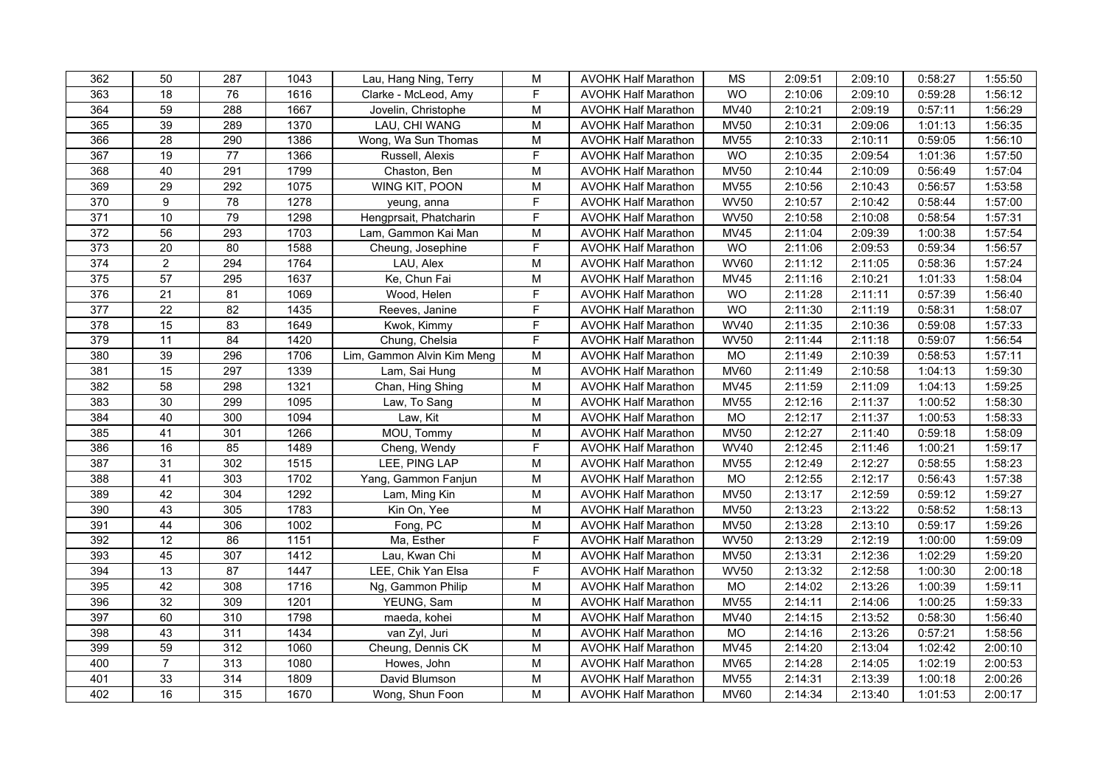| 362              | 50              | 287             | 1043 | Lau, Hang Ning, Terry      | M                                                                                     | <b>AVOHK Half Marathon</b> | <b>MS</b>   | 2:09:51 | 2:09:10 | 0:58:27 | 1:55:50 |
|------------------|-----------------|-----------------|------|----------------------------|---------------------------------------------------------------------------------------|----------------------------|-------------|---------|---------|---------|---------|
| 363              | 18              | 76              | 1616 | Clarke - McLeod, Amy       | F                                                                                     | <b>AVOHK Half Marathon</b> | <b>WO</b>   | 2:10:06 | 2:09:10 | 0:59:28 | 1:56:12 |
| 364              | 59              | 288             | 1667 | Jovelin, Christophe        | M                                                                                     | <b>AVOHK Half Marathon</b> | <b>MV40</b> | 2:10:21 | 2:09:19 | 0:57:11 | 1:56:29 |
| 365              | 39              | 289             | 1370 | LAU, CHI WANG              | M                                                                                     | <b>AVOHK Half Marathon</b> | <b>MV50</b> | 2:10:31 | 2:09:06 | 1:01:13 | 1:56:35 |
| 366              | $\overline{28}$ | 290             | 1386 | Wong, Wa Sun Thomas        | M                                                                                     | <b>AVOHK Half Marathon</b> | <b>MV55</b> | 2:10:33 | 2:10:11 | 0:59:05 | 1:56:10 |
| 367              | 19              | 77              | 1366 | Russell, Alexis            | F                                                                                     | <b>AVOHK Half Marathon</b> | <b>WO</b>   | 2:10:35 | 2:09:54 | 1:01:36 | 1:57:50 |
| 368              | 40              | 291             | 1799 | Chaston, Ben               | M                                                                                     | <b>AVOHK Half Marathon</b> | <b>MV50</b> | 2:10:44 | 2:10:09 | 0:56:49 | 1:57:04 |
| 369              | 29              | 292             | 1075 | WING KIT, POON             | $\overline{\mathsf{M}}$                                                               | <b>AVOHK Half Marathon</b> | <b>MV55</b> | 2:10:56 | 2:10:43 | 0:56:57 | 1:53:58 |
| 370              | $\overline{9}$  | $\overline{78}$ | 1278 | yeung, anna                | $\overline{F}$                                                                        | <b>AVOHK Half Marathon</b> | <b>WV50</b> | 2:10:57 | 2:10:42 | 0:58:44 | 1:57:00 |
| 371              | 10              | 79              | 1298 | Hengprsait, Phatcharin     | F                                                                                     | <b>AVOHK Half Marathon</b> | <b>WV50</b> | 2:10:58 | 2:10:08 | 0:58:54 | 1:57:31 |
| 372              | 56              | 293             | 1703 | Lam, Gammon Kai Man        | M                                                                                     | <b>AVOHK Half Marathon</b> | <b>MV45</b> | 2:11:04 | 2:09:39 | 1:00:38 | 1:57:54 |
| 373              | 20              | 80              | 1588 | Cheung, Josephine          | F                                                                                     | <b>AVOHK Half Marathon</b> | WO          | 2:11:06 | 2:09:53 | 0:59:34 | 1:56:57 |
| $\overline{374}$ | $\overline{a}$  | 294             | 1764 | LAU, Alex                  | M                                                                                     | <b>AVOHK Half Marathon</b> | <b>WV60</b> | 2:11:12 | 2:11:05 | 0:58:36 | 1:57:24 |
| 375              | 57              | 295             | 1637 | Ke, Chun Fai               | M                                                                                     | <b>AVOHK Half Marathon</b> | <b>MV45</b> | 2:11:16 | 2:10:21 | 1:01:33 | 1:58:04 |
| 376              | 21              | 81              | 1069 | Wood, Helen                | $\mathsf F$                                                                           | <b>AVOHK Half Marathon</b> | <b>WO</b>   | 2:11:28 | 2:11:11 | 0:57:39 | 1:56:40 |
| 377              | 22              | 82              | 1435 | Reeves, Janine             | $\mathsf F$                                                                           | <b>AVOHK Half Marathon</b> | <b>WO</b>   | 2:11:30 | 2:11:19 | 0:58:31 | 1:58:07 |
| 378              | 15              | 83              | 1649 | Kwok, Kimmy                | $\mathsf F$                                                                           | <b>AVOHK Half Marathon</b> | <b>WV40</b> | 2:11:35 | 2:10:36 | 0:59:08 | 1:57:33 |
| 379              | 11              | 84              | 1420 | Chung, Chelsia             | F                                                                                     | <b>AVOHK Half Marathon</b> | <b>WV50</b> | 2:11:44 | 2:11:18 | 0:59:07 | 1:56:54 |
| 380              | 39              | 296             | 1706 | Lim, Gammon Alvin Kim Meng | M                                                                                     | <b>AVOHK Half Marathon</b> | <b>MO</b>   | 2:11:49 | 2:10:39 | 0:58:53 | 1:57:11 |
| 381              | 15              | 297             | 1339 | Lam, Sai Hung              | ${\sf M}$                                                                             | <b>AVOHK Half Marathon</b> | <b>MV60</b> | 2:11:49 | 2:10:58 | 1:04:13 | 1:59:30 |
| 382              | 58              | 298             | 1321 | Chan, Hing Shing           | M                                                                                     | <b>AVOHK Half Marathon</b> | <b>MV45</b> | 2:11:59 | 2:11:09 | 1:04:13 | 1:59:25 |
| 383              | 30              | 299             | 1095 | Law, To Sang               | M                                                                                     | <b>AVOHK Half Marathon</b> | <b>MV55</b> | 2:12:16 | 2:11:37 | 1:00:52 | 1:58:30 |
| 384              | 40              | 300             | 1094 | Law, Kit                   | M                                                                                     | <b>AVOHK Half Marathon</b> | MO          | 2:12:17 | 2:11:37 | 1:00:53 | 1:58:33 |
| 385              | 41              | 301             | 1266 | MOU, Tommy                 | $\overline{\mathsf{M}}$                                                               | <b>AVOHK Half Marathon</b> | <b>MV50</b> | 2:12:27 | 2:11:40 | 0:59:18 | 1:58:09 |
| 386              | 16              | 85              | 1489 | Cheng, Wendy               | F                                                                                     | <b>AVOHK Half Marathon</b> | <b>WV40</b> | 2:12:45 | 2:11:46 | 1:00:21 | 1:59:17 |
| 387              | 31              | 302             | 1515 | LEE, PING LAP              | M                                                                                     | <b>AVOHK Half Marathon</b> | <b>MV55</b> | 2:12:49 | 2:12:27 | 0:58:55 | 1:58:23 |
| 388              | 41              | 303             | 1702 | Yang, Gammon Fanjun        | M                                                                                     | <b>AVOHK Half Marathon</b> | MO          | 2:12:55 | 2:12:17 | 0:56:43 | 1:57:38 |
| 389              | 42              | 304             | 1292 | Lam, Ming Kin              | $\mathsf{M}% _{T}=\mathsf{M}_{T}\!\left( a,b\right) ,\ \mathsf{M}_{T}=\mathsf{M}_{T}$ | <b>AVOHK Half Marathon</b> | <b>MV50</b> | 2:13:17 | 2:12:59 | 0:59:12 | 1:59:27 |
| 390              | 43              | 305             | 1783 | Kin On, Yee                | M                                                                                     | <b>AVOHK Half Marathon</b> | <b>MV50</b> | 2:13:23 | 2:13:22 | 0:58:52 | 1:58:13 |
| 391              | 44              | 306             | 1002 | Fong, PC                   | M                                                                                     | <b>AVOHK Half Marathon</b> | <b>MV50</b> | 2:13:28 | 2:13:10 | 0:59:17 | 1:59:26 |
| 392              | 12              | 86              | 1151 | Ma, Esther                 | $\mathsf F$                                                                           | <b>AVOHK Half Marathon</b> | <b>WV50</b> | 2:13:29 | 2:12:19 | 1:00:00 | 1:59:09 |
| 393              | 45              | 307             | 1412 | Lau, Kwan Chi              | M                                                                                     | <b>AVOHK Half Marathon</b> | <b>MV50</b> | 2:13:31 | 2:12:36 | 1:02:29 | 1:59:20 |
| 394              | 13              | $\overline{87}$ | 1447 | LEE, Chik Yan Elsa         | $\mathsf F$                                                                           | <b>AVOHK Half Marathon</b> | <b>WV50</b> | 2:13:32 | 2:12:58 | 1:00:30 | 2:00:18 |
| 395              | 42              | 308             | 1716 | Ng, Gammon Philip          | M                                                                                     | <b>AVOHK Half Marathon</b> | MO          | 2:14:02 | 2:13:26 | 1:00:39 | 1:59:11 |
| 396              | $\overline{32}$ | 309             | 1201 | YEUNG, Sam                 | M                                                                                     | <b>AVOHK Half Marathon</b> | <b>MV55</b> | 2:14:11 | 2:14:06 | 1:00:25 | 1:59:33 |
| 397              | 60              | 310             | 1798 | maeda, kohei               | $\mathsf{M}% _{T}=\mathsf{M}_{T}\!\left( a,b\right) ,\ \mathsf{M}_{T}=\mathsf{M}_{T}$ | <b>AVOHK Half Marathon</b> | MV40        | 2:14:15 | 2:13:52 | 0:58:30 | 1:56:40 |
| 398              | 43              | 311             | 1434 | van Zyl, Juri              | M                                                                                     | <b>AVOHK Half Marathon</b> | MO          | 2:14:16 | 2:13:26 | 0:57:21 | 1:58:56 |
| 399              | 59              | 312             | 1060 | Cheung, Dennis CK          | M                                                                                     | <b>AVOHK Half Marathon</b> | MV45        | 2:14:20 | 2:13:04 | 1:02:42 | 2:00:10 |
| 400              | $\overline{7}$  | 313             | 1080 | Howes, John                | M                                                                                     | <b>AVOHK Half Marathon</b> | <b>MV65</b> | 2:14:28 | 2:14:05 | 1:02:19 | 2:00:53 |
| 401              | 33              | 314             | 1809 | David Blumson              | M                                                                                     | <b>AVOHK Half Marathon</b> | <b>MV55</b> | 2:14:31 | 2:13:39 | 1:00:18 | 2:00:26 |
| 402              | 16              | 315             | 1670 | Wong, Shun Foon            | $\overline{\mathsf{M}}$                                                               | <b>AVOHK Half Marathon</b> | <b>MV60</b> | 2:14:34 | 2:13:40 | 1:01:53 | 2:00:17 |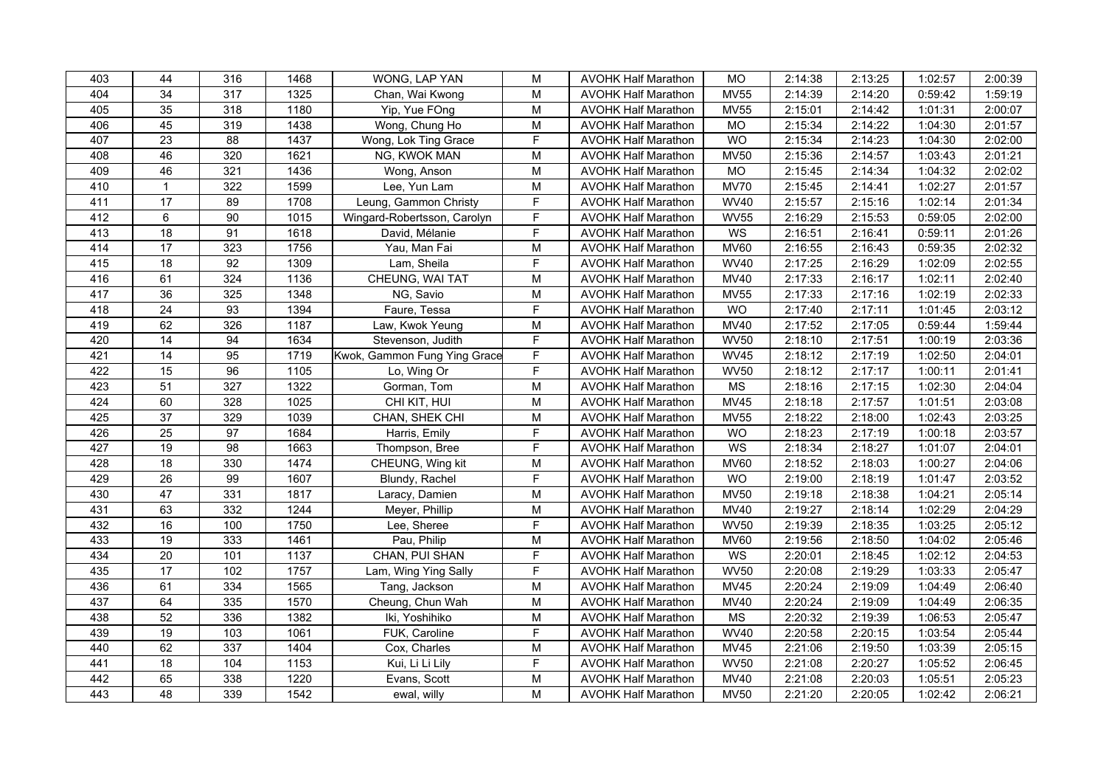| 403 | 44              | 316              | 1468 | WONG, LAP YAN                | $\mathsf{M}% _{T}=\mathsf{M}_{T}\!\left( a,b\right) ,\ \mathsf{M}_{T}=\mathsf{M}_{T}$ | <b>AVOHK Half Marathon</b> | <b>MO</b>              | 2:14:38 | 2:13:25 | 1:02:57 | 2:00:39 |
|-----|-----------------|------------------|------|------------------------------|---------------------------------------------------------------------------------------|----------------------------|------------------------|---------|---------|---------|---------|
| 404 | $\overline{34}$ | 317              | 1325 | Chan, Wai Kwong              | M                                                                                     | <b>AVOHK Half Marathon</b> | <b>MV55</b>            | 2:14:39 | 2:14:20 | 0:59:42 | 1:59:19 |
| 405 | 35              | $\overline{318}$ | 1180 | Yip, Yue FOng                | $\overline{M}$                                                                        | <b>AVOHK Half Marathon</b> | <b>MV55</b>            | 2:15:01 | 2:14:42 | 1:01:31 | 2:00:07 |
| 406 | 45              | 319              | 1438 | Wong, Chung Ho               | M                                                                                     | <b>AVOHK Half Marathon</b> | <b>MO</b>              | 2:15:34 | 2:14:22 | 1:04:30 | 2:01:57 |
| 407 | $\overline{23}$ | 88               | 1437 | Wong, Lok Ting Grace         | F                                                                                     | <b>AVOHK Half Marathon</b> | <b>WO</b>              | 2:15:34 | 2:14:23 | 1:04:30 | 2:02:00 |
| 408 | 46              | 320              | 1621 | NG, KWOK MAN                 | M                                                                                     | <b>AVOHK Half Marathon</b> | <b>MV50</b>            | 2:15:36 | 2:14:57 | 1:03:43 | 2:01:21 |
| 409 | 46              | 321              | 1436 | Wong, Anson                  | $\mathsf{M}% _{T}=\mathsf{M}_{T}\!\left( a,b\right) ,\ \mathsf{M}_{T}=\mathsf{M}_{T}$ | <b>AVOHK Half Marathon</b> | <b>MO</b>              | 2:15:45 | 2:14:34 | 1:04:32 | 2:02:02 |
| 410 | $\mathbf{1}$    | 322              | 1599 | Lee, Yun Lam                 | $\overline{M}$                                                                        | <b>AVOHK Half Marathon</b> | <b>MV70</b>            | 2:15:45 | 2:14:41 | 1:02:27 | 2:01:57 |
| 411 | 17              | 89               | 1708 | Leung, Gammon Christy        | $\mathsf F$                                                                           | <b>AVOHK Half Marathon</b> | <b>WV40</b>            | 2:15:57 | 2:15:16 | 1:02:14 | 2:01:34 |
| 412 | 6               | $\overline{90}$  | 1015 | Wingard-Robertsson, Carolyn  | $\mathsf F$                                                                           | <b>AVOHK Half Marathon</b> | <b>WV55</b>            | 2:16:29 | 2:15:53 | 0:59:05 | 2:02:00 |
| 413 | 18              | 91               | 1618 | David, Mélanie               | $\mathsf F$                                                                           | <b>AVOHK Half Marathon</b> | WS                     | 2:16:51 | 2:16:41 | 0:59:11 | 2:01:26 |
| 414 | 17              | 323              | 1756 | Yau, Man Fai                 | $\mathsf{M}% _{T}=\mathsf{M}_{T}\!\left( a,b\right) ,\ \mathsf{M}_{T}=\mathsf{M}_{T}$ | <b>AVOHK Half Marathon</b> | <b>MV60</b>            | 2:16:55 | 2:16:43 | 0:59:35 | 2:02:32 |
| 415 | 18              | 92               | 1309 | Lam, Sheila                  | F                                                                                     | <b>AVOHK Half Marathon</b> | <b>WV40</b>            | 2:17:25 | 2:16:29 | 1:02:09 | 2:02:55 |
| 416 | 61              | 324              | 1136 | CHEUNG, WAI TAT              | M                                                                                     | <b>AVOHK Half Marathon</b> | <b>MV40</b>            | 2:17:33 | 2:16:17 | 1:02:11 | 2:02:40 |
| 417 | 36              | 325              | 1348 | NG, Savio                    | M                                                                                     | <b>AVOHK Half Marathon</b> | <b>MV55</b>            | 2:17:33 | 2:17:16 | 1:02:19 | 2:02:33 |
| 418 | $\overline{24}$ | 93               | 1394 | Faure, Tessa                 | F                                                                                     | <b>AVOHK Half Marathon</b> | <b>WO</b>              | 2:17:40 | 2:17:11 | 1:01:45 | 2:03:12 |
| 419 | 62              | 326              | 1187 | Law, Kwok Yeung              | M                                                                                     | <b>AVOHK Half Marathon</b> | <b>MV40</b>            | 2:17:52 | 2:17:05 | 0:59:44 | 1:59:44 |
| 420 | $\overline{14}$ | 94               | 1634 | Stevenson, Judith            | $\overline{F}$                                                                        | <b>AVOHK Half Marathon</b> | <b>WV50</b>            | 2:18:10 | 2:17:51 | 1:00:19 | 2:03:36 |
| 421 | 14              | 95               | 1719 | Kwok, Gammon Fung Ying Grace | $\mathsf F$                                                                           | <b>AVOHK Half Marathon</b> | <b>WV45</b>            | 2:18:12 | 2:17:19 | 1:02:50 | 2:04:01 |
| 422 | 15              | 96               | 1105 | Lo, Wing Or                  | F                                                                                     | <b>AVOHK Half Marathon</b> | <b>WV50</b>            | 2:18:12 | 2:17:17 | 1:00:11 | 2:01:41 |
| 423 | 51              | 327              | 1322 | Gorman, Tom                  | M                                                                                     | <b>AVOHK Half Marathon</b> | <b>MS</b>              | 2:18:16 | 2:17:15 | 1:02:30 | 2:04:04 |
| 424 | 60              | 328              | 1025 | CHI KIT, HUI                 | M                                                                                     | <b>AVOHK Half Marathon</b> | <b>MV45</b>            | 2:18:18 | 2:17:57 | 1:01:51 | 2:03:08 |
| 425 | $\overline{37}$ | 329              | 1039 | CHAN, SHEK CHI               | ${\sf M}$                                                                             | <b>AVOHK Half Marathon</b> | <b>MV55</b>            | 2:18:22 | 2:18:00 | 1:02:43 | 2:03:25 |
| 426 | 25              | $\overline{97}$  | 1684 | Harris, Emily                | $\overline{F}$                                                                        | <b>AVOHK Half Marathon</b> | <b>WO</b>              | 2:18:23 | 2:17:19 | 1:00:18 | 2:03:57 |
| 427 | 19              | 98               | 1663 | Thompson, Bree               | F                                                                                     | <b>AVOHK Half Marathon</b> | WS                     | 2:18:34 | 2:18:27 | 1:01:07 | 2:04:01 |
| 428 | 18              | 330              | 1474 | CHEUNG, Wing kit             | M                                                                                     | <b>AVOHK Half Marathon</b> | <b>MV60</b>            | 2:18:52 | 2:18:03 | 1:00:27 | 2:04:06 |
| 429 | $\overline{26}$ | 99               | 1607 | Blundy, Rachel               | F                                                                                     | <b>AVOHK Half Marathon</b> | <b>WO</b>              | 2:19:00 | 2:18:19 | 1:01:47 | 2:03:52 |
| 430 | 47              | 331              | 1817 | Laracy, Damien               | M                                                                                     | <b>AVOHK Half Marathon</b> | <b>MV50</b>            | 2:19:18 | 2:18:38 | 1:04:21 | 2:05:14 |
| 431 | 63              | 332              | 1244 | Meyer, Phillip               | M                                                                                     | <b>AVOHK Half Marathon</b> | MV40                   | 2:19:27 | 2:18:14 | 1:02:29 | 2:04:29 |
| 432 | 16              | 100              | 1750 | Lee, Sheree                  | E                                                                                     | <b>AVOHK Half Marathon</b> | <b>WV50</b>            | 2:19:39 | 2:18:35 | 1:03:25 | 2:05:12 |
| 433 | 19              | 333              | 1461 | Pau, Philip                  | $\mathsf{M}% _{T}=\mathsf{M}_{T}\!\left( a,b\right) ,\ \mathsf{M}_{T}=\mathsf{M}_{T}$ | <b>AVOHK Half Marathon</b> | <b>MV60</b>            | 2:19:56 | 2:18:50 | 1:04:02 | 2:05:46 |
| 434 | $\overline{20}$ | 101              | 1137 | CHAN, PUI SHAN               | $\mathsf F$                                                                           | <b>AVOHK Half Marathon</b> | WS                     | 2:20:01 | 2:18:45 | 1:02:12 | 2:04:53 |
| 435 | $\overline{17}$ | 102              | 1757 | Lam, Wing Ying Sally         | F                                                                                     | <b>AVOHK Half Marathon</b> | <b>WV50</b>            | 2:20:08 | 2:19:29 | 1:03:33 | 2:05:47 |
| 436 | 61              | 334              | 1565 | Tang, Jackson                | $\mathsf{M}% _{T}=\mathsf{M}_{T}\!\left( a,b\right) ,\ \mathsf{M}_{T}=\mathsf{M}_{T}$ | <b>AVOHK Half Marathon</b> | <b>MV45</b>            | 2:20:24 | 2:19:09 | 1:04:49 | 2:06:40 |
| 437 | 64              | 335              | 1570 | Cheung, Chun Wah             | M                                                                                     | <b>AVOHK Half Marathon</b> | <b>MV40</b>            | 2:20:24 | 2:19:09 | 1:04:49 | 2:06:35 |
| 438 | 52              | 336              | 1382 | Iki, Yoshihiko               | $\mathsf{M}% _{T}=\mathsf{M}_{T}\!\left( a,b\right) ,\ \mathsf{M}_{T}=\mathsf{M}_{T}$ | <b>AVOHK Half Marathon</b> | $\overline{\text{MS}}$ | 2:20:32 | 2:19:39 | 1:06:53 | 2:05:47 |
| 439 | 19              | 103              | 1061 | FUK, Caroline                | $\overline{F}$                                                                        | <b>AVOHK Half Marathon</b> | <b>WV40</b>            | 2:20:58 | 2:20:15 | 1:03:54 | 2:05:44 |
| 440 | 62              | 337              | 1404 | Cox, Charles                 | ${\sf M}$                                                                             | <b>AVOHK Half Marathon</b> | <b>MV45</b>            | 2:21:06 | 2:19:50 | 1:03:39 | 2:05:15 |
| 441 | 18              | 104              | 1153 | Kui, Li Li Lily              | F                                                                                     | <b>AVOHK Half Marathon</b> | <b>WV50</b>            | 2:21:08 | 2:20:27 | 1:05:52 | 2:06:45 |
| 442 | 65              | 338              | 1220 | Evans, Scott                 | $\mathsf{M}% _{T}=\mathsf{M}_{T}\!\left( a,b\right) ,\ \mathsf{M}_{T}=\mathsf{M}_{T}$ | <b>AVOHK Half Marathon</b> | <b>MV40</b>            | 2:21:08 | 2:20:03 | 1:05:51 | 2:05:23 |
| 443 | 48              | 339              | 1542 | ewal, willy                  | M                                                                                     | <b>AVOHK Half Marathon</b> | <b>MV50</b>            | 2:21:20 | 2:20:05 | 1:02:42 | 2:06:21 |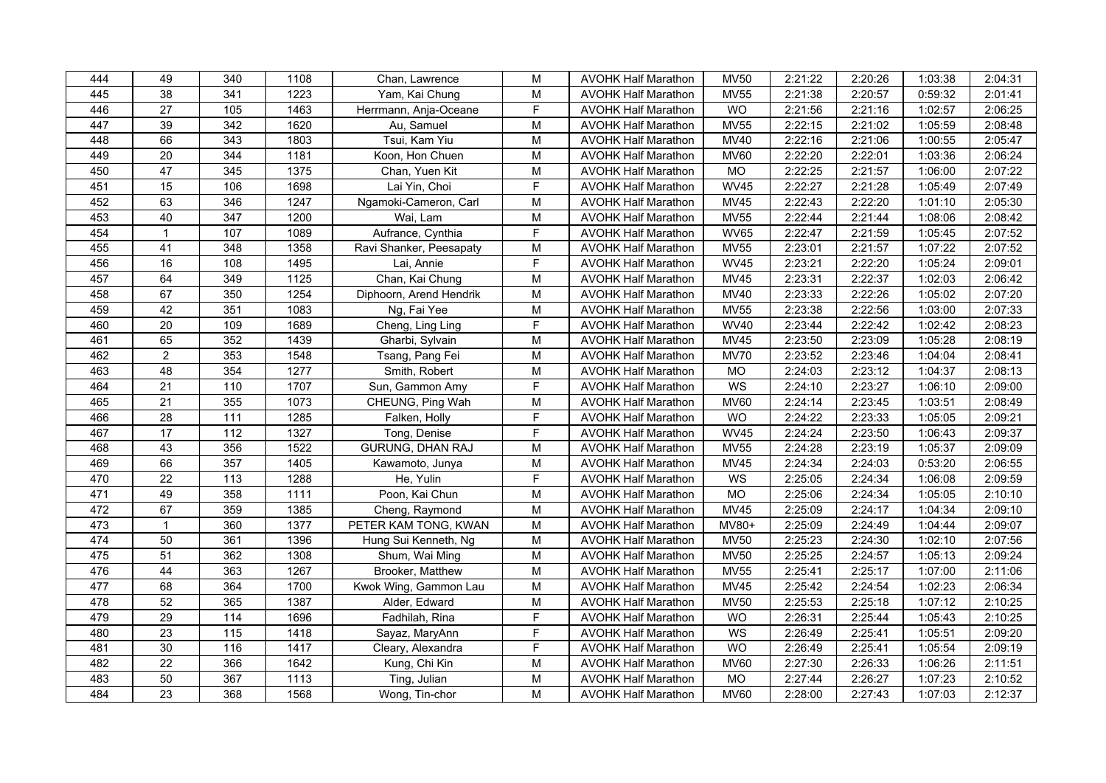| 444 | 49              | 340               | 1108 | Chan, Lawrence          | M                                                                                     | <b>AVOHK Half Marathon</b> | <b>MV50</b>     | 2:21:22 | 2:20:26 | 1:03:38 | 2:04:31 |
|-----|-----------------|-------------------|------|-------------------------|---------------------------------------------------------------------------------------|----------------------------|-----------------|---------|---------|---------|---------|
| 445 | 38              | 341               | 1223 | Yam, Kai Chung          | M                                                                                     | <b>AVOHK Half Marathon</b> | <b>MV55</b>     | 2:21:38 | 2:20:57 | 0:59:32 | 2:01:41 |
| 446 | $\overline{27}$ | 105               | 1463 | Herrmann, Anja-Oceane   | $\overline{F}$                                                                        | <b>AVOHK Half Marathon</b> | <b>WO</b>       | 2:21:56 | 2:21:16 | 1:02:57 | 2:06:25 |
| 447 | 39              | $\overline{342}$  | 1620 | Au, Samuel              | ${\sf M}$                                                                             | <b>AVOHK Half Marathon</b> | <b>MV55</b>     | 2:22:15 | 2:21:02 | 1:05:59 | 2:08:48 |
| 448 | 66              | 343               | 1803 | Tsui, Kam Yiu           | M                                                                                     | <b>AVOHK Half Marathon</b> | <b>MV40</b>     | 2:22:16 | 2:21:06 | 1:00:55 | 2:05:47 |
| 449 | 20              | 344               | 1181 | Koon, Hon Chuen         | M                                                                                     | <b>AVOHK Half Marathon</b> | <b>MV60</b>     | 2:22:20 | 2:22:01 | 1:03:36 | 2:06:24 |
| 450 | 47              | 345               | 1375 | Chan, Yuen Kit          | ${\sf M}$                                                                             | <b>AVOHK Half Marathon</b> | MO              | 2:22:25 | 2:21:57 | 1:06:00 | 2:07:22 |
| 451 | $\overline{15}$ | 106               | 1698 | Lai Yin, Choi           | $\overline{F}$                                                                        | <b>AVOHK Half Marathon</b> | <b>WV45</b>     | 2:22:27 | 2:21:28 | 1:05:49 | 2:07:49 |
| 452 | 63              | 346               | 1247 | Ngamoki-Cameron, Carl   | M                                                                                     | <b>AVOHK Half Marathon</b> | <b>MV45</b>     | 2:22:43 | 2:22:20 | 1:01:10 | 2:05:30 |
| 453 | 40              | 347               | 1200 | Wai, Lam                | M                                                                                     | <b>AVOHK Half Marathon</b> | <b>MV55</b>     | 2:22:44 | 2:21:44 | 1:08:06 | 2:08:42 |
| 454 | $\mathbf{1}$    | 107               | 1089 | Aufrance, Cynthia       | F                                                                                     | <b>AVOHK Half Marathon</b> | <b>WV65</b>     | 2:22:47 | 2:21:59 | 1:05:45 | 2:07:52 |
| 455 | 41              | 348               | 1358 | Ravi Shanker, Peesapaty | ${\sf M}$                                                                             | <b>AVOHK Half Marathon</b> | <b>MV55</b>     | 2:23:01 | 2:21:57 | 1:07:22 | 2:07:52 |
| 456 | 16              | 108               | 1495 | Lai, Annie              | F                                                                                     | <b>AVOHK Half Marathon</b> | <b>WV45</b>     | 2:23:21 | 2:22:20 | 1:05:24 | 2:09:01 |
| 457 | 64              | 349               | 1125 | Chan, Kai Chung         | ${\sf M}$                                                                             | <b>AVOHK Half Marathon</b> | <b>MV45</b>     | 2:23:31 | 2:22:37 | 1:02:03 | 2:06:42 |
| 458 | 67              | 350               | 1254 | Diphoorn, Arend Hendrik | M                                                                                     | <b>AVOHK Half Marathon</b> | <b>MV40</b>     | 2:23:33 | 2:22:26 | 1:05:02 | 2:07:20 |
| 459 | 42              | 351               | 1083 | Ng, Fai Yee             | M                                                                                     | <b>AVOHK Half Marathon</b> | <b>MV55</b>     | 2:23:38 | 2:22:56 | 1:03:00 | 2:07:33 |
| 460 | 20              | 109               | 1689 | Cheng, Ling Ling        | F                                                                                     | <b>AVOHK Half Marathon</b> | <b>WV40</b>     | 2:23:44 | 2:22:42 | 1:02:42 | 2:08:23 |
| 461 | 65              | 352               | 1439 | Gharbi, Sylvain         | ${\sf M}$                                                                             | <b>AVOHK Half Marathon</b> | MV45            | 2:23:50 | 2:23:09 | 1:05:28 | 2:08:19 |
| 462 | $\overline{2}$  | 353               | 1548 | Tsang, Pang Fei         | $\overline{M}$                                                                        | <b>AVOHK Half Marathon</b> | <b>MV70</b>     | 2:23:52 | 2:23:46 | 1:04:04 | 2:08:41 |
| 463 | 48              | 354               | 1277 | Smith, Robert           | ${\sf M}$                                                                             | <b>AVOHK Half Marathon</b> | <b>MO</b>       | 2:24:03 | 2:23:12 | 1:04:37 | 2:08:13 |
| 464 | 21              | 110               | 1707 | Sun, Gammon Amy         | F                                                                                     | <b>AVOHK Half Marathon</b> | WS              | 2:24:10 | 2:23:27 | 1:06:10 | 2:09:00 |
| 465 | $\overline{21}$ | 355               | 1073 | CHEUNG, Ping Wah        | M                                                                                     | <b>AVOHK Half Marathon</b> | <b>MV60</b>     | 2:24:14 | 2:23:45 | 1:03:51 | 2:08:49 |
| 466 | 28              | $\frac{111}{11}$  | 1285 | Falken, Holly           | $\overline{F}$                                                                        | <b>AVOHK Half Marathon</b> | WO              | 2:24:22 | 2:23:33 | 1:05:05 | 2:09:21 |
| 467 | 17              | 112               | 1327 | Tong, Denise            | F                                                                                     | <b>AVOHK Half Marathon</b> | <b>WV45</b>     | 2:24:24 | 2:23:50 | 1:06:43 | 2:09:37 |
| 468 | 43              | 356               | 1522 | GURUNG, DHAN RAJ        | M                                                                                     | <b>AVOHK Half Marathon</b> | <b>MV55</b>     | 2:24:28 | 2:23:19 | 1:05:37 | 2:09:09 |
| 469 | 66              | 357               | 1405 | Kawamoto, Junya         | ${\sf M}$                                                                             | <b>AVOHK Half Marathon</b> | <b>MV45</b>     | 2:24:34 | 2:24:03 | 0:53:20 | 2:06:55 |
| 470 | $\overline{22}$ | $\frac{1}{13}$    | 1288 | He, Yulin               | $\mathsf F$                                                                           | <b>AVOHK Half Marathon</b> | WS              | 2:25:05 | 2:24:34 | 1:06:08 | 2:09:59 |
| 471 | 49              | 358               | 1111 | Poon, Kai Chun          | ${\sf M}$                                                                             | <b>AVOHK Half Marathon</b> | $\overline{MO}$ | 2:25:06 | 2:24:34 | 1:05:05 | 2:10:10 |
| 472 | 67              | 359               | 1385 | Cheng, Raymond          | M                                                                                     | <b>AVOHK Half Marathon</b> | <b>MV45</b>     | 2:25:09 | 2:24:17 | 1:04:34 | 2:09:10 |
| 473 | $\mathbf{1}$    | 360               | 1377 | PETER KAM TONG, KWAN    | M                                                                                     | <b>AVOHK Half Marathon</b> | MV80+           | 2:25:09 | 2:24:49 | 1:04:44 | 2:09:07 |
| 474 | 50              | 361               | 1396 | Hung Sui Kenneth, Ng    | M                                                                                     | <b>AVOHK Half Marathon</b> | <b>MV50</b>     | 2:25:23 | 2:24:30 | 1:02:10 | 2:07:56 |
| 475 | $\overline{51}$ | 362               | 1308 | Shum, Wai Ming          | M                                                                                     | <b>AVOHK Half Marathon</b> | <b>MV50</b>     | 2:25:25 | 2:24:57 | 1:05:13 | 2:09:24 |
| 476 | 44              | 363               | 1267 | Brooker, Matthew        | $\mathsf{M}% _{T}=\mathsf{M}_{T}\!\left( a,b\right) ,\ \mathsf{M}_{T}=\mathsf{M}_{T}$ | <b>AVOHK Half Marathon</b> | <b>MV55</b>     | 2:25:41 | 2:25:17 | 1:07:00 | 2:11:06 |
| 477 | 68              | 364               | 1700 | Kwok Wing, Gammon Lau   | $\mathsf{M}% _{T}=\mathsf{M}_{T}\!\left( a,b\right) ,\ \mathsf{M}_{T}=\mathsf{M}_{T}$ | <b>AVOHK Half Marathon</b> | <b>MV45</b>     | 2:25:42 | 2:24:54 | 1:02:23 | 2:06:34 |
| 478 | 52              | 365               | 1387 | Alder, Edward           | M                                                                                     | <b>AVOHK Half Marathon</b> | <b>MV50</b>     | 2:25:53 | 2:25:18 | 1:07:12 | 2:10:25 |
| 479 | 29              | 114               | 1696 | Fadhilah, Rina          | F                                                                                     | <b>AVOHK Half Marathon</b> | <b>WO</b>       | 2:26:31 | 2:25:44 | 1:05:43 | 2:10:25 |
| 480 | 23              | 115               | 1418 | Sayaz, MaryAnn          | F                                                                                     | <b>AVOHK Half Marathon</b> | WS              | 2:26:49 | 2:25:41 | 1:05:51 | 2:09:20 |
| 481 | 30              | $\frac{116}{116}$ | 1417 | Cleary, Alexandra       | F                                                                                     | <b>AVOHK Half Marathon</b> | WO              | 2:26:49 | 2:25:41 | 1:05:54 | 2:09:19 |
| 482 | 22              | 366               | 1642 | Kung, Chi Kin           | $\mathsf{M}% _{T}=\mathsf{M}_{T}\!\left( a,b\right) ,\ \mathsf{M}_{T}=\mathsf{M}_{T}$ | <b>AVOHK Half Marathon</b> | <b>MV60</b>     | 2:27:30 | 2:26:33 | 1:06:26 | 2:11:51 |
| 483 | 50              | 367               | 1113 | Ting, Julian            | $\mathsf{M}% _{T}=\mathsf{M}_{T}\!\left( a,b\right) ,\ \mathsf{M}_{T}=\mathsf{M}_{T}$ | <b>AVOHK Half Marathon</b> | MO              | 2:27:44 | 2:26:27 | 1:07:23 | 2:10:52 |
| 484 | 23              | 368               | 1568 | Wong, Tin-chor          | $\overline{M}$                                                                        | <b>AVOHK Half Marathon</b> | <b>MV60</b>     | 2:28:00 | 2:27:43 | 1:07:03 | 2:12:37 |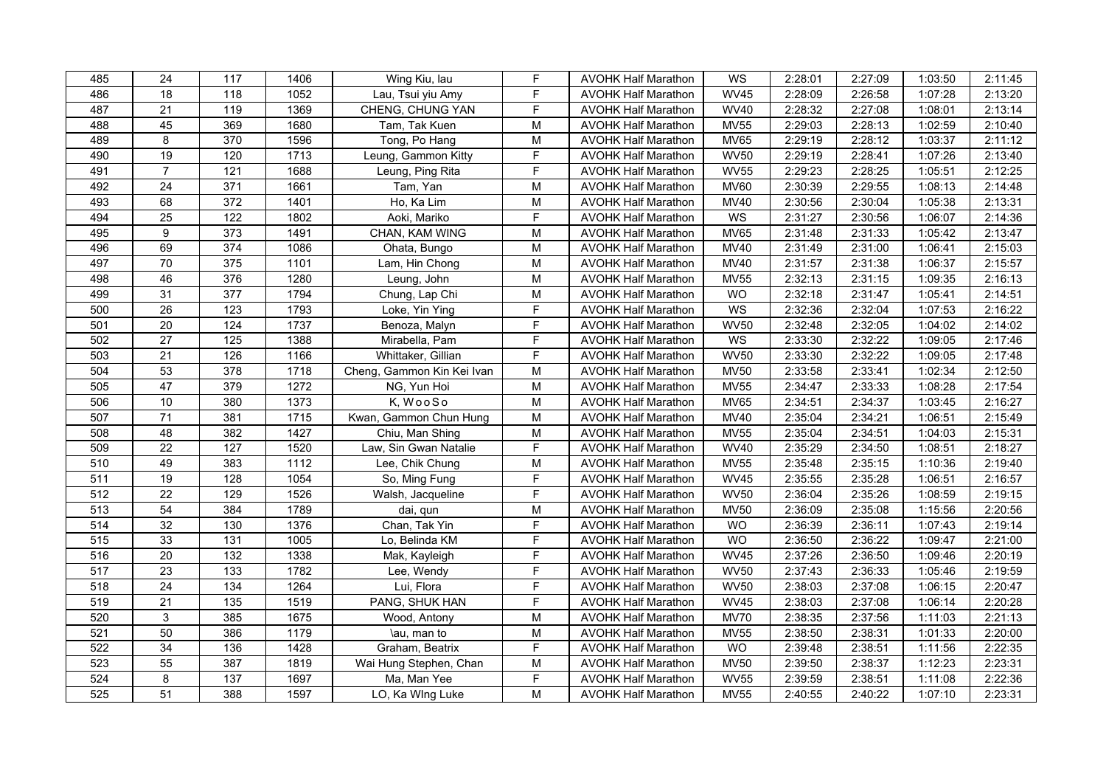| 485 | 24              | 117              | 1406 | Wing Kiu, lau              | $\mathsf F$                                                                           | <b>AVOHK Half Marathon</b> | WS          | 2:28:01 | 2:27:09 | 1:03:50 | 2:11:45 |
|-----|-----------------|------------------|------|----------------------------|---------------------------------------------------------------------------------------|----------------------------|-------------|---------|---------|---------|---------|
| 486 | 18              | 118              | 1052 | Lau, Tsui yiu Amy          | F                                                                                     | <b>AVOHK Half Marathon</b> | <b>WV45</b> | 2:28:09 | 2:26:58 | 1:07:28 | 2:13:20 |
| 487 | $\overline{21}$ | 119              | 1369 | CHENG, CHUNG YAN           | F                                                                                     | <b>AVOHK Half Marathon</b> | <b>WV40</b> | 2:28:32 | 2:27:08 | 1:08:01 | 2:13:14 |
| 488 | 45              | 369              | 1680 | Tam, Tak Kuen              | $\mathsf{M}% _{T}=\mathsf{M}_{T}\!\left( a,b\right) ,\ \mathsf{M}_{T}=\mathsf{M}_{T}$ | <b>AVOHK Half Marathon</b> | <b>MV55</b> | 2:29:03 | 2:28:13 | 1:02:59 | 2:10:40 |
| 489 | 8               | 370              | 1596 | Tong, Po Hang              | M                                                                                     | <b>AVOHK Half Marathon</b> | <b>MV65</b> | 2:29:19 | 2:28:12 | 1:03:37 | 2:11:12 |
| 490 | 19              | 120              | 1713 | Leung, Gammon Kitty        | F                                                                                     | <b>AVOHK Half Marathon</b> | <b>WV50</b> | 2:29:19 | 2:28:41 | 1:07:26 | 2:13:40 |
| 491 | $\overline{7}$  | 121              | 1688 | Leung, Ping Rita           | F                                                                                     | <b>AVOHK Half Marathon</b> | <b>WV55</b> | 2:29:23 | 2:28:25 | 1:05:51 | 2:12:25 |
| 492 | 24              | $\overline{371}$ | 1661 | Tam, Yan                   | M                                                                                     | <b>AVOHK Half Marathon</b> | <b>MV60</b> | 2:30:39 | 2:29:55 | 1:08:13 | 2:14:48 |
| 493 | 68              | 372              | 1401 | Ho, Ka Lim                 | M                                                                                     | <b>AVOHK Half Marathon</b> | <b>MV40</b> | 2:30:56 | 2:30:04 | 1:05:38 | 2:13:31 |
| 494 | 25              | 122              | 1802 | Aoki, Mariko               | F                                                                                     | <b>AVOHK Half Marathon</b> | WS          | 2:31:27 | 2:30:56 | 1:06:07 | 2:14:36 |
| 495 | 9               | 373              | 1491 | CHAN, KAM WING             | M                                                                                     | <b>AVOHK Half Marathon</b> | <b>MV65</b> | 2:31:48 | 2:31:33 | 1:05:42 | 2:13:47 |
| 496 | 69              | 374              | 1086 | Ohata, Bungo               | ${\sf M}$                                                                             | <b>AVOHK Half Marathon</b> | <b>MV40</b> | 2:31:49 | 2:31:00 | 1:06:41 | 2:15:03 |
| 497 | 70              | 375              | 1101 | Lam, Hin Chong             | ${\sf M}$                                                                             | <b>AVOHK Half Marathon</b> | <b>MV40</b> | 2:31:57 | 2:31:38 | 1:06:37 | 2:15:57 |
| 498 | 46              | 376              | 1280 | Leung, John                | ${\sf M}$                                                                             | <b>AVOHK Half Marathon</b> | <b>MV55</b> | 2:32:13 | 2:31:15 | 1:09:35 | 2:16:13 |
| 499 | 31              | 377              | 1794 | Chung, Lap Chi             | M                                                                                     | <b>AVOHK Half Marathon</b> | <b>WO</b>   | 2:32:18 | 2:31:47 | 1:05:41 | 2:14:51 |
| 500 | 26              | 123              | 1793 | Loke, Yin Ying             | F                                                                                     | <b>AVOHK Half Marathon</b> | WS          | 2:32:36 | 2:32:04 | 1:07:53 | 2:16:22 |
| 501 | 20              | 124              | 1737 | Benoza, Malyn              | $\mathsf F$                                                                           | <b>AVOHK Half Marathon</b> | <b>WV50</b> | 2:32:48 | 2:32:05 | 1:04:02 | 2:14:02 |
| 502 | $\overline{27}$ | 125              | 1388 | Mirabella, Pam             | $\overline{F}$                                                                        | <b>AVOHK Half Marathon</b> | WS          | 2:33:30 | 2:32:22 | 1:09:05 | 2:17:46 |
| 503 | 21              | 126              | 1166 | Whittaker, Gillian         | $\overline{F}$                                                                        | <b>AVOHK Half Marathon</b> | <b>WV50</b> | 2:33:30 | 2:32:22 | 1:09:05 | 2:17:48 |
| 504 | 53              | 378              | 1718 | Cheng, Gammon Kin Kei Ivan | M                                                                                     | <b>AVOHK Half Marathon</b> | <b>MV50</b> | 2:33:58 | 2:33:41 | 1:02:34 | 2:12:50 |
| 505 | 47              | 379              | 1272 | NG, Yun Hoi                | M                                                                                     | <b>AVOHK Half Marathon</b> | <b>MV55</b> | 2:34:47 | 2:33:33 | 1:08:28 | 2:17:54 |
| 506 | 10              | 380              | 1373 | K, WooSo                   | M                                                                                     | <b>AVOHK Half Marathon</b> | <b>MV65</b> | 2:34:51 | 2:34:37 | 1:03:45 | 2:16:27 |
| 507 | 71              | 381              | 1715 | Kwan, Gammon Chun Hung     | $\overline{\mathsf{M}}$                                                               | <b>AVOHK Half Marathon</b> | <b>MV40</b> | 2:35:04 | 2:34:21 | 1:06:51 | 2:15:49 |
| 508 | 48              | 382              | 1427 | Chiu, Man Shing            | ${\sf M}$                                                                             | <b>AVOHK Half Marathon</b> | MV55        | 2:35:04 | 2:34:51 | 1:04:03 | 2:15:31 |
| 509 | $\overline{22}$ | 127              | 1520 | Law, Sin Gwan Natalie      | F                                                                                     | <b>AVOHK Half Marathon</b> | <b>WV40</b> | 2:35:29 | 2:34:50 | 1:08:51 | 2:18:27 |
| 510 | 49              | 383              | 1112 | Lee, Chik Chung            | ${\sf M}$                                                                             | <b>AVOHK Half Marathon</b> | <b>MV55</b> | 2:35:48 | 2:35:15 | 1:10:36 | 2:19:40 |
| 511 | 19              | 128              | 1054 | So, Ming Fung              | $\overline{F}$                                                                        | <b>AVOHK Half Marathon</b> | <b>WV45</b> | 2:35:55 | 2:35:28 | 1:06:51 | 2:16:57 |
| 512 | $\overline{22}$ | 129              | 1526 | Walsh, Jacqueline          | $\overline{F}$                                                                        | <b>AVOHK Half Marathon</b> | <b>WV50</b> | 2:36:04 | 2:35:26 | 1:08:59 | 2:19:15 |
| 513 | 54              | 384              | 1789 | dai, qun                   | M                                                                                     | <b>AVOHK Half Marathon</b> | <b>MV50</b> | 2:36:09 | 2:35:08 | 1:15:56 | 2:20:56 |
| 514 | 32              | 130              | 1376 | Chan, Tak Yin              | F                                                                                     | <b>AVOHK Half Marathon</b> | <b>WO</b>   | 2:36:39 | 2:36:11 | 1:07:43 | 2:19:14 |
| 515 | 33              | 131              | 1005 | Lo, Belinda KM             | $\mathsf F$                                                                           | <b>AVOHK Half Marathon</b> | <b>WO</b>   | 2:36:50 | 2:36:22 | 1:09:47 | 2:21:00 |
| 516 | 20              | 132              | 1338 | Mak, Kayleigh              | F                                                                                     | <b>AVOHK Half Marathon</b> | <b>WV45</b> | 2:37:26 | 2:36:50 | 1:09:46 | 2:20:19 |
| 517 | 23              | 133              | 1782 | Lee, Wendy                 | F                                                                                     | <b>AVOHK Half Marathon</b> | <b>WV50</b> | 2:37:43 | 2:36:33 | 1:05:46 | 2:19:59 |
| 518 | 24              | 134              | 1264 | Lui, Flora                 | F                                                                                     | <b>AVOHK Half Marathon</b> | <b>WV50</b> | 2:38:03 | 2:37:08 | 1:06:15 | 2:20:47 |
| 519 | $\overline{21}$ | $\overline{135}$ | 1519 | PANG, SHUK HAN             | F                                                                                     | <b>AVOHK Half Marathon</b> | <b>WV45</b> | 2:38:03 | 2:37:08 | 1:06:14 | 2:20:28 |
| 520 | $\overline{3}$  | 385              | 1675 | Wood, Antony               | M                                                                                     | <b>AVOHK Half Marathon</b> | <b>MV70</b> | 2:38:35 | 2:37:56 | 1:11:03 | 2:21:13 |
| 521 | 50              | 386              | 1179 | \au, man to                | M                                                                                     | <b>AVOHK Half Marathon</b> | <b>MV55</b> | 2:38:50 | 2:38:31 | 1:01:33 | 2:20:00 |
| 522 | 34              | 136              | 1428 | Graham, Beatrix            | F                                                                                     | <b>AVOHK Half Marathon</b> | <b>WO</b>   | 2:39:48 | 2:38:51 | 1:11:56 | 2:22:35 |
| 523 | 55              | 387              | 1819 | Wai Hung Stephen, Chan     | ${\sf M}$                                                                             | <b>AVOHK Half Marathon</b> | <b>MV50</b> | 2:39:50 | 2:38:37 | 1:12:23 | 2:23:31 |
| 524 | 8               | 137              | 1697 | Ma, Man Yee                | $\mathsf F$                                                                           | <b>AVOHK Half Marathon</b> | <b>WV55</b> | 2:39:59 | 2:38:51 | 1:11:08 | 2:22:36 |
| 525 | 51              | 388              | 1597 | LO, Ka WIng Luke           | M                                                                                     | <b>AVOHK Half Marathon</b> | <b>MV55</b> | 2:40:55 | 2:40:22 | 1:07:10 | 2:23:31 |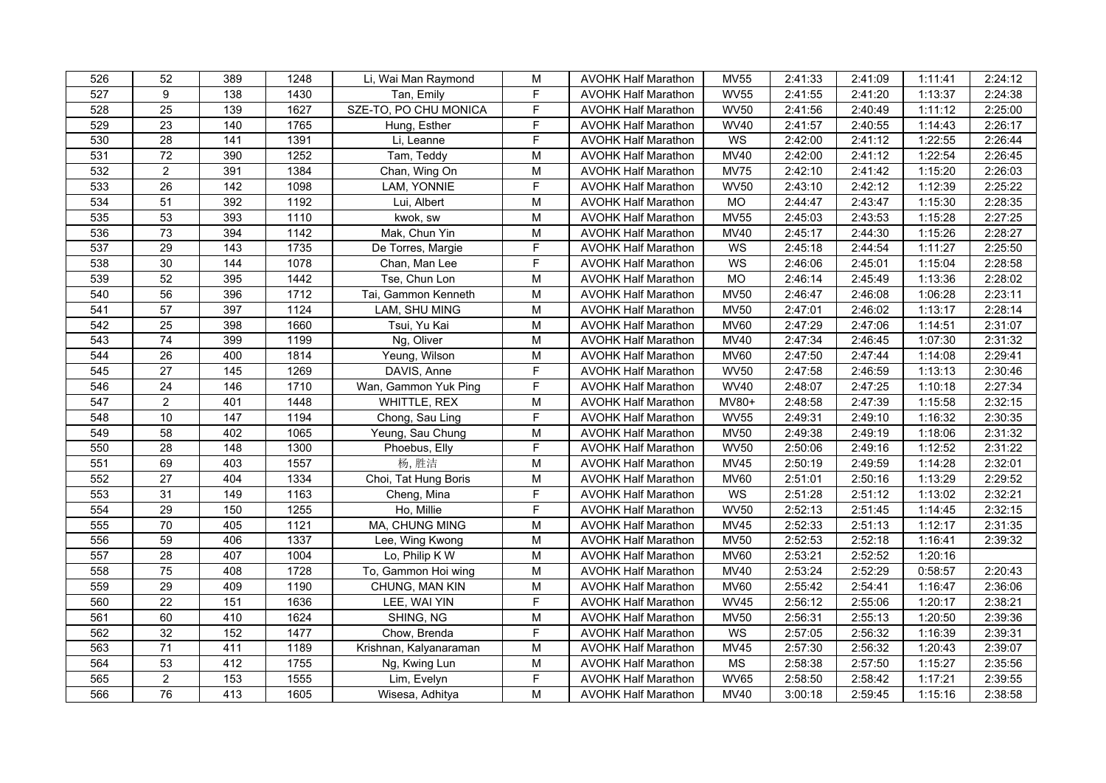| 526 | 52              | 389               | 1248 | Li, Wai Man Raymond    | M                                                                                     | <b>AVOHK Half Marathon</b> | <b>MV55</b> | 2:41:33 | 2:41:09 | 1:11:41 | 2:24:12 |
|-----|-----------------|-------------------|------|------------------------|---------------------------------------------------------------------------------------|----------------------------|-------------|---------|---------|---------|---------|
| 527 | 9               | 138               | 1430 | Tan, Emily             | F                                                                                     | <b>AVOHK Half Marathon</b> | <b>WV55</b> | 2:41:55 | 2:41:20 | 1:13:37 | 2:24:38 |
| 528 | $\overline{25}$ | 139               | 1627 | SZE-TO, PO CHU MONICA  | F                                                                                     | <b>AVOHK Half Marathon</b> | <b>WV50</b> | 2:41:56 | 2:40:49 | 1:11:12 | 2:25:00 |
| 529 | $\overline{23}$ | 140               | 1765 | Hung, Esther           | $\overline{F}$                                                                        | <b>AVOHK Half Marathon</b> | <b>WV40</b> | 2:41:57 | 2:40:55 | 1:14:43 | 2:26:17 |
| 530 | 28              | 141               | 1391 | Li, Leanne             | F                                                                                     | <b>AVOHK Half Marathon</b> | WS          | 2:42:00 | 2:41:12 | 1:22:55 | 2:26:44 |
| 531 | $72\,$          | 390               | 1252 | Tam, Teddy             | M                                                                                     | <b>AVOHK Half Marathon</b> | <b>MV40</b> | 2:42:00 | 2:41:12 | 1:22:54 | 2:26:45 |
| 532 | $\overline{2}$  | 391               | 1384 | Chan, Wing On          | ${\sf M}$                                                                             | <b>AVOHK Half Marathon</b> | <b>MV75</b> | 2:42:10 | 2:41:42 | 1:15:20 | 2:26:03 |
| 533 | 26              | 142               | 1098 | LAM, YONNIE            | $\overline{F}$                                                                        | <b>AVOHK Half Marathon</b> | <b>WV50</b> | 2:43:10 | 2:42:12 | 1:12:39 | 2:25:22 |
| 534 | $\overline{51}$ | 392               | 1192 | Lui, Albert            | M                                                                                     | <b>AVOHK Half Marathon</b> | MO          | 2:44:47 | 2:43:47 | 1:15:30 | 2:28:35 |
| 535 | 53              | 393               | 1110 | kwok, sw               | M                                                                                     | <b>AVOHK Half Marathon</b> | <b>MV55</b> | 2:45:03 | 2:43:53 | 1:15:28 | 2:27:25 |
| 536 | 73              | 394               | 1142 | Mak, Chun Yin          | M                                                                                     | <b>AVOHK Half Marathon</b> | <b>MV40</b> | 2:45:17 | 2:44:30 | 1:15:26 | 2:28:27 |
| 537 | 29              | 143               | 1735 | De Torres, Margie      | $\overline{F}$                                                                        | <b>AVOHK Half Marathon</b> | WS          | 2:45:18 | 2:44:54 | 1:11:27 | 2:25:50 |
| 538 | 30              | 144               | 1078 | Chan, Man Lee          | F                                                                                     | <b>AVOHK Half Marathon</b> | WS          | 2:46:06 | 2:45:01 | 1:15:04 | 2:28:58 |
| 539 | 52              | 395               | 1442 | Tse, Chun Lon          | M                                                                                     | <b>AVOHK Half Marathon</b> | <b>MO</b>   | 2:46:14 | 2:45:49 | 1:13:36 | 2:28:02 |
| 540 | 56              | 396               | 1712 | Tai, Gammon Kenneth    | M                                                                                     | <b>AVOHK Half Marathon</b> | <b>MV50</b> | 2:46:47 | 2:46:08 | 1:06:28 | 2:23:11 |
| 541 | 57              | 397               | 1124 | LAM, SHU MING          | $\mathsf{M}% _{T}=\mathsf{M}_{T}\!\left( a,b\right) ,\ \mathsf{M}_{T}=\mathsf{M}_{T}$ | <b>AVOHK Half Marathon</b> | <b>MV50</b> | 2:47:01 | 2:46:02 | 1:13:17 | 2:28:14 |
| 542 | $\overline{25}$ | 398               | 1660 | Tsui, Yu Kai           | $\mathsf{M}% _{T}=\mathsf{M}_{T}\!\left( a,b\right) ,\ \mathsf{M}_{T}=\mathsf{M}_{T}$ | <b>AVOHK Half Marathon</b> | <b>MV60</b> | 2:47:29 | 2:47:06 | 1:14:51 | 2:31:07 |
| 543 | 74              | 399               | 1199 | Ng, Oliver             | $\mathsf{M}% _{T}=\mathsf{M}_{T}\!\left( a,b\right) ,\ \mathsf{M}_{T}=\mathsf{M}_{T}$ | <b>AVOHK Half Marathon</b> | <b>MV40</b> | 2:47:34 | 2:46:45 | 1:07:30 | 2:31:32 |
| 544 | 26              | 400               | 1814 | Yeung, Wilson          | $\overline{M}$                                                                        | <b>AVOHK Half Marathon</b> | <b>MV60</b> | 2:47:50 | 2:47:44 | 1:14:08 | 2:29:41 |
| 545 | 27              | 145               | 1269 | DAVIS, Anne            | F                                                                                     | <b>AVOHK Half Marathon</b> | <b>WV50</b> | 2:47:58 | 2:46:59 | 1:13:13 | 2:30:46 |
| 546 | 24              | 146               | 1710 | Wan, Gammon Yuk Ping   | F                                                                                     | <b>AVOHK Half Marathon</b> | <b>WV40</b> | 2:48:07 | 2:47:25 | 1:10:18 | 2:27:34 |
| 547 | $\overline{2}$  | 401               | 1448 | WHITTLE, REX           | M                                                                                     | <b>AVOHK Half Marathon</b> | MV80+       | 2:48:58 | 2:47:39 | 1:15:58 | 2:32:15 |
| 548 | 10              | $\frac{147}{147}$ | 1194 | Chong, Sau Ling        | $\overline{F}$                                                                        | <b>AVOHK Half Marathon</b> | <b>WV55</b> | 2:49:31 | 2:49:10 | 1:16:32 | 2:30:35 |
| 549 | $\overline{58}$ | 402               | 1065 | Yeung, Sau Chung       | $\mathsf{M}% _{T}=\mathsf{M}_{T}\!\left( a,b\right) ,\ \mathsf{M}_{T}=\mathsf{M}_{T}$ | <b>AVOHK Half Marathon</b> | <b>MV50</b> | 2:49:38 | 2:49:19 | 1:18:06 | 2:31:32 |
| 550 | $\overline{28}$ | 148               | 1300 | Phoebus, Elly          | F                                                                                     | <b>AVOHK Half Marathon</b> | <b>WV50</b> | 2:50:06 | 2:49:16 | 1:12:52 | 2:31:22 |
| 551 | 69              | 403               | 1557 | 杨,胜洁                   | $\mathsf{M}% _{T}=\mathsf{M}_{T}\!\left( a,b\right) ,\ \mathsf{M}_{T}=\mathsf{M}_{T}$ | <b>AVOHK Half Marathon</b> | <b>MV45</b> | 2:50:19 | 2:49:59 | 1:14:28 | 2:32:01 |
| 552 | $\overline{27}$ | 404               | 1334 | Choi, Tat Hung Boris   | $\mathsf{M}% _{T}=\mathsf{M}_{T}\!\left( a,b\right) ,\ \mathsf{M}_{T}=\mathsf{M}_{T}$ | <b>AVOHK Half Marathon</b> | <b>MV60</b> | 2:51:01 | 2:50:16 | 1:13:29 | 2:29:52 |
| 553 | 31              | 149               | 1163 | Cheng, Mina            | $\mathsf F$                                                                           | <b>AVOHK Half Marathon</b> | WS          | 2:51:28 | 2:51:12 | 1:13:02 | 2:32:21 |
| 554 | $\overline{29}$ | 150               | 1255 | Ho, Millie             | F                                                                                     | <b>AVOHK Half Marathon</b> | <b>WV50</b> | 2:52:13 | 2:51:45 | 1:14:45 | 2:32:15 |
| 555 | $\overline{70}$ | 405               | 1121 | MA, CHUNG MING         | M                                                                                     | <b>AVOHK Half Marathon</b> | <b>MV45</b> | 2:52:33 | 2:51:13 | 1:12:17 | 2:31:35 |
| 556 | 59              | 406               | 1337 | Lee, Wing Kwong        | M                                                                                     | <b>AVOHK Half Marathon</b> | <b>MV50</b> | 2:52:53 | 2:52:18 | 1:16:41 | 2:39:32 |
| 557 | 28              | 407               | 1004 | Lo, Philip K W         | M                                                                                     | <b>AVOHK Half Marathon</b> | <b>MV60</b> | 2:53:21 | 2:52:52 | 1:20:16 |         |
| 558 | $\overline{75}$ | 408               | 1728 | To, Gammon Hoi wing    | M                                                                                     | <b>AVOHK Half Marathon</b> | <b>MV40</b> | 2:53:24 | 2:52:29 | 0:58:57 | 2:20:43 |
| 559 | 29              | 409               | 1190 | CHUNG, MAN KIN         | M                                                                                     | <b>AVOHK Half Marathon</b> | <b>MV60</b> | 2:55:42 | 2:54:41 | 1:16:47 | 2:36:06 |
| 560 | $\overline{22}$ | 151               | 1636 | LEE, WAI YIN           | $\overline{F}$                                                                        | <b>AVOHK Half Marathon</b> | <b>WV45</b> | 2:56:12 | 2:55:06 | 1:20:17 | 2:38:21 |
| 561 | 60              | 410               | 1624 | SHING, NG              | M                                                                                     | <b>AVOHK Half Marathon</b> | <b>MV50</b> | 2:56:31 | 2:55:13 | 1:20:50 | 2:39:36 |
| 562 | 32              | 152               | 1477 | Chow, Brenda           | F                                                                                     | <b>AVOHK Half Marathon</b> | WS          | 2:57:05 | 2:56:32 | 1:16:39 | 2:39:31 |
| 563 | 71              | 411               | 1189 | Krishnan, Kalyanaraman | M                                                                                     | <b>AVOHK Half Marathon</b> | MV45        | 2:57:30 | 2:56:32 | 1:20:43 | 2:39:07 |
| 564 | 53              | 412               | 1755 | Ng, Kwing Lun          | ${\sf M}$                                                                             | <b>AVOHK Half Marathon</b> | <b>MS</b>   | 2:58:38 | 2:57:50 | 1:15:27 | 2:35:56 |
| 565 | $\overline{a}$  | 153               | 1555 | Lim, Evelyn            | $\mathsf F$                                                                           | <b>AVOHK Half Marathon</b> | <b>WV65</b> | 2:58:50 | 2:58:42 | 1:17:21 | 2:39:55 |
| 566 | 76              | 413               | 1605 | Wisesa, Adhitya        | M                                                                                     | <b>AVOHK Half Marathon</b> | <b>MV40</b> | 3:00:18 | 2:59:45 | 1:15:16 | 2:38:58 |